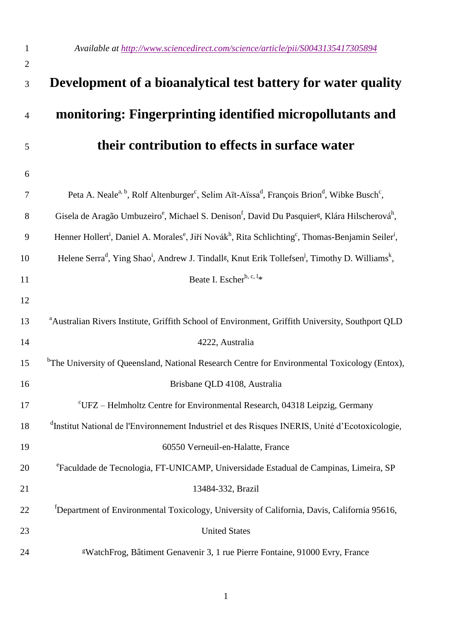| $\mathbf{1}$   | Available at http://www.sciencedirect.com/science/article/pii/S0043135417305894                                                                                |
|----------------|----------------------------------------------------------------------------------------------------------------------------------------------------------------|
| $\overline{2}$ |                                                                                                                                                                |
| 3              | Development of a bioanalytical test battery for water quality                                                                                                  |
| $\overline{4}$ | monitoring: Fingerprinting identified micropollutants and                                                                                                      |
| 5              | their contribution to effects in surface water                                                                                                                 |
| 6              |                                                                                                                                                                |
| 7              | Peta A. Neale <sup>a, b</sup> , Rolf Altenburger <sup>c</sup> , Selim Aït-Aïssa <sup>d</sup> , François Brion <sup>d</sup> , Wibke Busch <sup>c</sup> ,        |
| 8              | Gisela de Aragão Umbuzeiro <sup>e</sup> , Michael S. Denison <sup>f</sup> , David Du Pasquier <sup>g</sup> , Klára Hilscherová <sup>h</sup> ,                  |
| 9              | Henner Hollert <sup>i</sup> , Daniel A. Morales <sup>e</sup> , Jiří Novák <sup>h</sup> , Rita Schlichting <sup>c</sup> , Thomas-Benjamin Seiler <sup>i</sup> , |
| 10             | Helene Serra <sup>d</sup> , Ying Shao <sup>i</sup> , Andrew J. Tindall <sup>g</sup> , Knut Erik Tollefsen <sup>j</sup> , Timothy D. Williams <sup>k</sup> ,    |
| 11             | Beate I. Escher <sup>b, c, 1</sup> *                                                                                                                           |
| 12             |                                                                                                                                                                |
| 13             | <sup>a</sup> Australian Rivers Institute, Griffith School of Environment, Griffith University, Southport QLD                                                   |
| 14             | 4222, Australia                                                                                                                                                |
| 15             | <sup>b</sup> The University of Queensland, National Research Centre for Environmental Toxicology (Entox),                                                      |
| 16             | Brisbane QLD 4108, Australia                                                                                                                                   |
| 17             | $\mathrm{^{c}UFZ}$ – Helmholtz Centre for Environmental Research, 04318 Leipzig, Germany                                                                       |
| 18             | <sup>d</sup> Institut National de l'Environnement Industriel et des Risques INERIS, Unité d'Ecotoxicologie,                                                    |
| 19             | 60550 Verneuil-en-Halatte, France                                                                                                                              |
| 20             | <sup>e</sup> Faculdade de Tecnologia, FT-UNICAMP, Universidade Estadual de Campinas, Limeira, SP                                                               |
| 21             | 13484-332, Brazil                                                                                                                                              |
| 22             | <sup>1</sup> Department of Environmental Toxicology, University of California, Davis, California 95616,                                                        |
| 23             | <b>United States</b>                                                                                                                                           |
| 24             | <sup>g</sup> WatchFrog, Bâtiment Genavenir 3, 1 rue Pierre Fontaine, 91000 Evry, France                                                                        |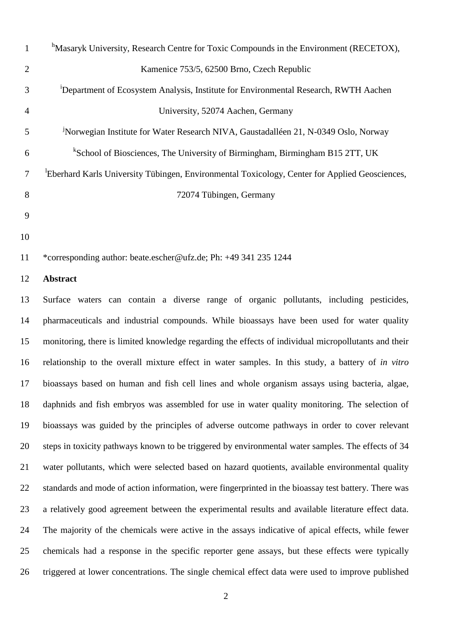| 1              | <sup>h</sup> Masaryk University, Research Centre for Toxic Compounds in the Environment (RECETOX), |
|----------------|----------------------------------------------------------------------------------------------------|
| $\overline{2}$ | Kamenice 753/5, 62500 Brno, Czech Republic                                                         |
| 3              | <sup>1</sup> Department of Ecosystem Analysis, Institute for Environmental Research, RWTH Aachen   |
| $\overline{4}$ | University, 52074 Aachen, Germany                                                                  |
| 5              | <sup>J</sup> Norwegian Institute for Water Research NIVA, Gaustadalléen 21, N-0349 Oslo, Norway    |
| 6              | <sup>k</sup> School of Biosciences, The University of Birmingham, Birmingham B15 2TT, UK           |
| 7              | Eberhard Karls University Tübingen, Environmental Toxicology, Center for Applied Geosciences,      |
| 8              | 72074 Tübingen, Germany                                                                            |
| 9              |                                                                                                    |
| 10             |                                                                                                    |

\*corresponding author: beate.escher@ufz.de; Ph: +49 341 235 1244

#### **Abstract**

 Surface waters can contain a diverse range of organic pollutants, including pesticides, pharmaceuticals and industrial compounds. While bioassays have been used for water quality monitoring, there is limited knowledge regarding the effects of individual micropollutants and their relationship to the overall mixture effect in water samples. In this study, a battery of *in vitro*  bioassays based on human and fish cell lines and whole organism assays using bacteria, algae, daphnids and fish embryos was assembled for use in water quality monitoring. The selection of bioassays was guided by the principles of adverse outcome pathways in order to cover relevant steps in toxicity pathways known to be triggered by environmental water samples. The effects of 34 water pollutants, which were selected based on hazard quotients, available environmental quality standards and mode of action information, were fingerprinted in the bioassay test battery. There was a relatively good agreement between the experimental results and available literature effect data. The majority of the chemicals were active in the assays indicative of apical effects, while fewer chemicals had a response in the specific reporter gene assays, but these effects were typically triggered at lower concentrations. The single chemical effect data were used to improve published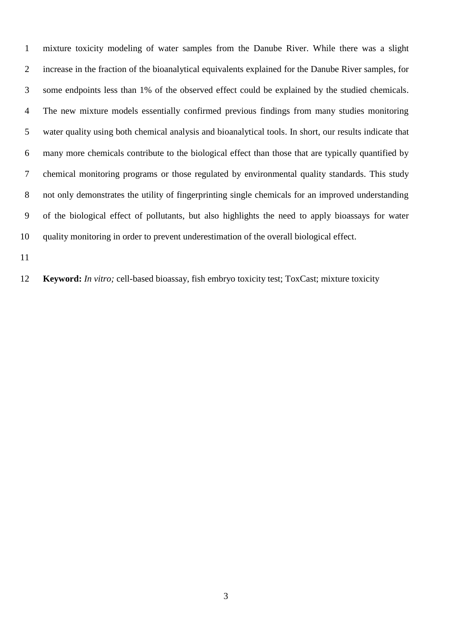mixture toxicity modeling of water samples from the Danube River. While there was a slight increase in the fraction of the bioanalytical equivalents explained for the Danube River samples, for some endpoints less than 1% of the observed effect could be explained by the studied chemicals. The new mixture models essentially confirmed previous findings from many studies monitoring water quality using both chemical analysis and bioanalytical tools. In short, our results indicate that many more chemicals contribute to the biological effect than those that are typically quantified by chemical monitoring programs or those regulated by environmental quality standards. This study not only demonstrates the utility of fingerprinting single chemicals for an improved understanding of the biological effect of pollutants, but also highlights the need to apply bioassays for water quality monitoring in order to prevent underestimation of the overall biological effect.

**Keyword:** *In vitro;* cell-based bioassay, fish embryo toxicity test; ToxCast; mixture toxicity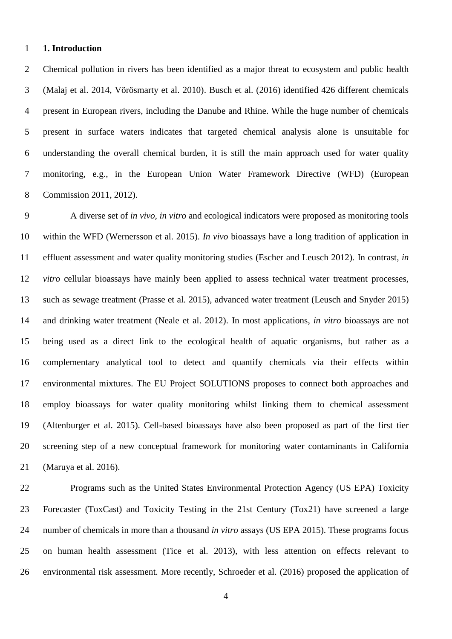#### **1. Introduction**

 Chemical pollution in rivers has been identified as a major threat to ecosystem and public health (Malaj et al. 2014, Vörösmarty et al. 2010). Busch et al. (2016) identified 426 different chemicals present in European rivers, including the Danube and Rhine. While the huge number of chemicals present in surface waters indicates that targeted chemical analysis alone is unsuitable for understanding the overall chemical burden, it is still the main approach used for water quality monitoring, e.g., in the European Union Water Framework Directive (WFD) (European Commission 2011, 2012).

 A diverse set of *in vivo, in vitro* and ecological indicators were proposed as monitoring tools within the WFD (Wernersson et al. 2015). *In vivo* bioassays have a long tradition of application in effluent assessment and water quality monitoring studies (Escher and Leusch 2012). In contrast, *in vitro* cellular bioassays have mainly been applied to assess technical water treatment processes, such as sewage treatment (Prasse et al. 2015), advanced water treatment (Leusch and Snyder 2015) and drinking water treatment (Neale et al. 2012). In most applications, *in vitro* bioassays are not being used as a direct link to the ecological health of aquatic organisms, but rather as a complementary analytical tool to detect and quantify chemicals via their effects within environmental mixtures. The EU Project SOLUTIONS proposes to connect both approaches and employ bioassays for water quality monitoring whilst linking them to chemical assessment (Altenburger et al. 2015). Cell-based bioassays have also been proposed as part of the first tier screening step of a new conceptual framework for monitoring water contaminants in California (Maruya et al. 2016).

 Programs such as the United States Environmental Protection Agency (US EPA) Toxicity Forecaster (ToxCast) and Toxicity Testing in the 21st Century (Tox21) have screened a large number of chemicals in more than a thousand *in vitro* assays (US EPA 2015). These programs focus on human health assessment (Tice et al. 2013), with less attention on effects relevant to environmental risk assessment. More recently, Schroeder et al. (2016) proposed the application of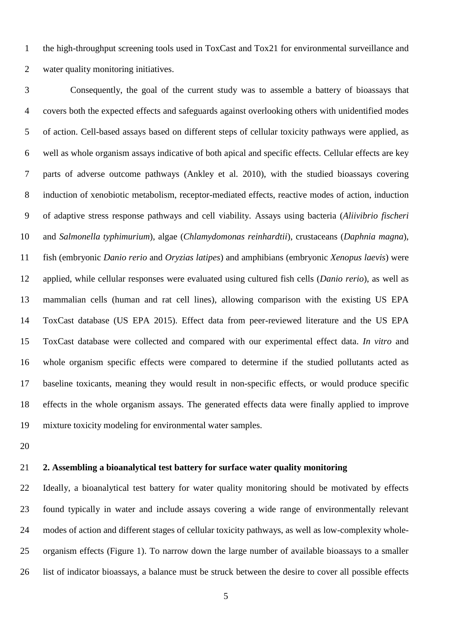the high-throughput screening tools used in ToxCast and Tox21 for environmental surveillance and water quality monitoring initiatives.

 Consequently, the goal of the current study was to assemble a battery of bioassays that covers both the expected effects and safeguards against overlooking others with unidentified modes of action. Cell-based assays based on different steps of cellular toxicity pathways were applied, as well as whole organism assays indicative of both apical and specific effects. Cellular effects are key parts of adverse outcome pathways (Ankley et al. 2010), with the studied bioassays covering induction of xenobiotic metabolism, receptor-mediated effects, reactive modes of action, induction of adaptive stress response pathways and cell viability. Assays using bacteria (*Aliivibrio fischeri* and *Salmonella typhimurium*), algae (*Chlamydomonas reinhardtii*), crustaceans (*Daphnia magna*), fish (embryonic *Danio rerio* and *Oryzias latipes*) and amphibians (embryonic *Xenopus laevis*) were applied, while cellular responses were evaluated using cultured fish cells (*Danio rerio*), as well as mammalian cells (human and rat cell lines), allowing comparison with the existing US EPA ToxCast database (US EPA 2015). Effect data from peer-reviewed literature and the US EPA ToxCast database were collected and compared with our experimental effect data. *In vitro* and whole organism specific effects were compared to determine if the studied pollutants acted as baseline toxicants, meaning they would result in non-specific effects, or would produce specific effects in the whole organism assays. The generated effects data were finally applied to improve mixture toxicity modeling for environmental water samples.

# **2. Assembling a bioanalytical test battery for surface water quality monitoring**

 Ideally, a bioanalytical test battery for water quality monitoring should be motivated by effects found typically in water and include assays covering a wide range of environmentally relevant modes of action and different stages of cellular toxicity pathways, as well as low-complexity whole- organism effects (Figure 1). To narrow down the large number of available bioassays to a smaller list of indicator bioassays, a balance must be struck between the desire to cover all possible effects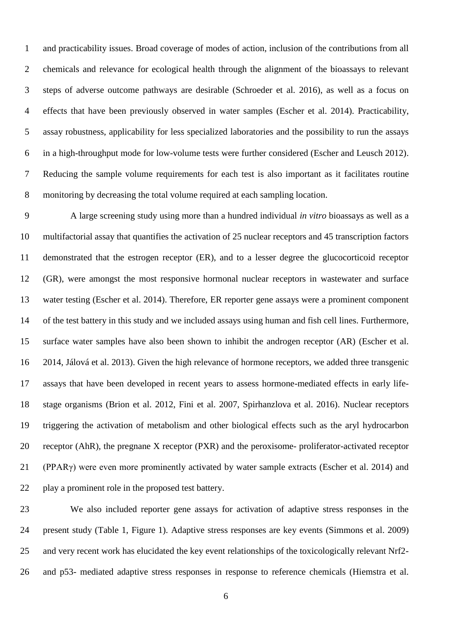and practicability issues. Broad coverage of modes of action, inclusion of the contributions from all chemicals and relevance for ecological health through the alignment of the bioassays to relevant steps of adverse outcome pathways are desirable (Schroeder et al. 2016), as well as a focus on effects that have been previously observed in water samples (Escher et al. 2014). Practicability, assay robustness, applicability for less specialized laboratories and the possibility to run the assays in a high-throughput mode for low-volume tests were further considered (Escher and Leusch 2012). Reducing the sample volume requirements for each test is also important as it facilitates routine monitoring by decreasing the total volume required at each sampling location.

 A large screening study using more than a hundred individual *in vitro* bioassays as well as a multifactorial assay that quantifies the activation of 25 nuclear receptors and 45 transcription factors demonstrated that the estrogen receptor (ER), and to a lesser degree the glucocorticoid receptor (GR), were amongst the most responsive hormonal nuclear receptors in wastewater and surface water testing (Escher et al. 2014). Therefore, ER reporter gene assays were a prominent component of the test battery in this study and we included assays using human and fish cell lines. Furthermore, surface water samples have also been shown to inhibit the androgen receptor (AR) (Escher et al. 2014, Jálová et al. 2013). Given the high relevance of hormone receptors, we added three transgenic assays that have been developed in recent years to assess hormone-mediated effects in early life- stage organisms (Brion et al. 2012, Fini et al. 2007, Spirhanzlova et al. 2016). Nuclear receptors triggering the activation of metabolism and other biological effects such as the aryl hydrocarbon receptor (AhR), the pregnane X receptor (PXR) and the peroxisome- proliferator-activated receptor (PPARγ) were even more prominently activated by water sample extracts (Escher et al. 2014) and play a prominent role in the proposed test battery.

 We also included reporter gene assays for activation of adaptive stress responses in the present study (Table 1, Figure 1). Adaptive stress responses are key events (Simmons et al. 2009) and very recent work has elucidated the key event relationships of the toxicologically relevant Nrf2- and p53- mediated adaptive stress responses in response to reference chemicals (Hiemstra et al.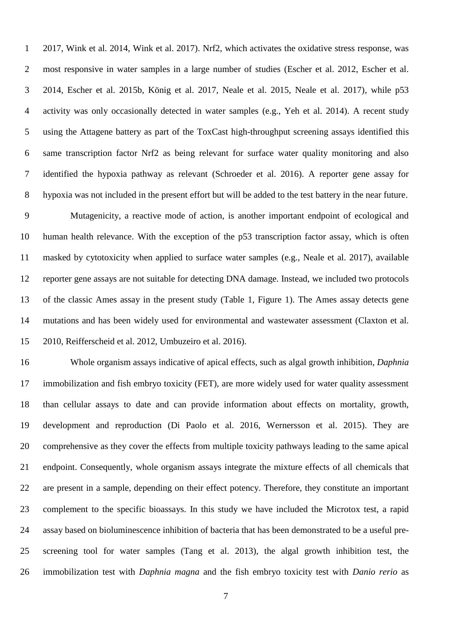2017, Wink et al. 2014, Wink et al. 2017). Nrf2, which activates the oxidative stress response, was most responsive in water samples in a large number of studies (Escher et al. 2012, Escher et al. 2014, Escher et al. 2015b, König et al. 2017, Neale et al. 2015, Neale et al. 2017), while p53 activity was only occasionally detected in water samples (e.g., Yeh et al. 2014). A recent study using the Attagene battery as part of the ToxCast high-throughput screening assays identified this same transcription factor Nrf2 as being relevant for surface water quality monitoring and also identified the hypoxia pathway as relevant (Schroeder et al. 2016). A reporter gene assay for hypoxia was not included in the present effort but will be added to the test battery in the near future.

 Mutagenicity, a reactive mode of action, is another important endpoint of ecological and human health relevance. With the exception of the p53 transcription factor assay, which is often masked by cytotoxicity when applied to surface water samples (e.g., Neale et al. 2017), available reporter gene assays are not suitable for detecting DNA damage. Instead, we included two protocols of the classic Ames assay in the present study (Table 1, Figure 1). The Ames assay detects gene mutations and has been widely used for environmental and wastewater assessment (Claxton et al. 2010, Reifferscheid et al. 2012, Umbuzeiro et al. 2016).

 Whole organism assays indicative of apical effects, such as algal growth inhibition, *Daphnia* immobilization and fish embryo toxicity (FET), are more widely used for water quality assessment than cellular assays to date and can provide information about effects on mortality, growth, development and reproduction (Di Paolo et al. 2016, Wernersson et al. 2015). They are comprehensive as they cover the effects from multiple toxicity pathways leading to the same apical endpoint. Consequently, whole organism assays integrate the mixture effects of all chemicals that are present in a sample, depending on their effect potency. Therefore, they constitute an important complement to the specific bioassays. In this study we have included the Microtox test, a rapid assay based on bioluminescence inhibition of bacteria that has been demonstrated to be a useful pre- screening tool for water samples (Tang et al. 2013), the algal growth inhibition test, the immobilization test with *Daphnia magna* and the fish embryo toxicity test with *Danio rerio* as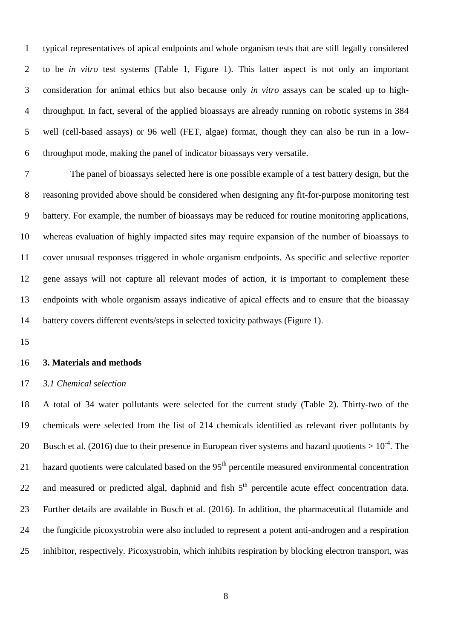typical representatives of apical endpoints and whole organism tests that are still legally considered to be *in vitro* test systems (Table 1, Figure 1). This latter aspect is not only an important consideration for animal ethics but also because only *in vitro* assays can be scaled up to high- throughput. In fact, several of the applied bioassays are already running on robotic systems in 384 well (cell-based assays) or 96 well (FET, algae) format, though they can also be run in a low-throughput mode, making the panel of indicator bioassays very versatile.

 The panel of bioassays selected here is one possible example of a test battery design, but the reasoning provided above should be considered when designing any fit-for-purpose monitoring test battery. For example, the number of bioassays may be reduced for routine monitoring applications, whereas evaluation of highly impacted sites may require expansion of the number of bioassays to cover unusual responses triggered in whole organism endpoints. As specific and selective reporter gene assays will not capture all relevant modes of action, it is important to complement these endpoints with whole organism assays indicative of apical effects and to ensure that the bioassay battery covers different events/steps in selected toxicity pathways (Figure 1).

#### **3. Materials and methods**

#### *3.1 Chemical selection*

 A total of 34 water pollutants were selected for the current study (Table 2). Thirty-two of the chemicals were selected from the list of 214 chemicals identified as relevant river pollutants by 20 Busch et al. (2016) due to their presence in European river systems and hazard quotients  $> 10^{-4}$ . The 21 hazard quotients were calculated based on the  $95<sup>th</sup>$  percentile measured environmental concentration 22 and measured or predicted algal, daphnid and fish 5<sup>th</sup> percentile acute effect concentration data. Further details are available in Busch et al. (2016). In addition, the pharmaceutical flutamide and the fungicide picoxystrobin were also included to represent a potent anti-androgen and a respiration inhibitor, respectively. Picoxystrobin, which inhibits respiration by blocking electron transport, was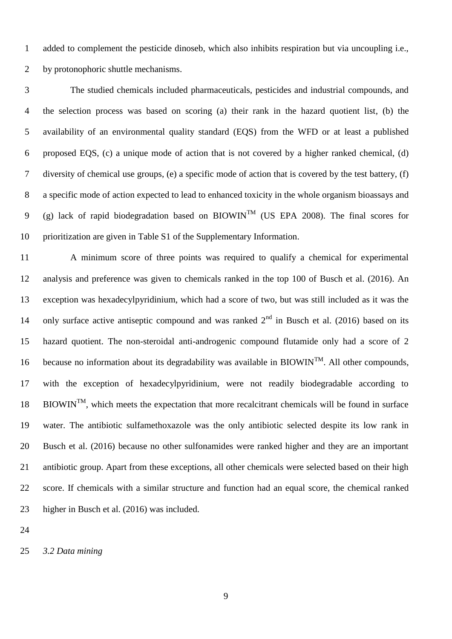added to complement the pesticide dinoseb, which also inhibits respiration but via uncoupling i.e., by protonophoric shuttle mechanisms.

 The studied chemicals included pharmaceuticals, pesticides and industrial compounds, and the selection process was based on scoring (a) their rank in the hazard quotient list, (b) the availability of an environmental quality standard (EQS) from the WFD or at least a published proposed EQS, (c) a unique mode of action that is not covered by a higher ranked chemical, (d) diversity of chemical use groups, (e) a specific mode of action that is covered by the test battery, (f) a specific mode of action expected to lead to enhanced toxicity in the whole organism bioassays and 9 (g) lack of rapid biodegradation based on BIOWIN<sup>TM</sup> (US EPA 2008). The final scores for prioritization are given in Table S1 of the Supplementary Information.

 A minimum score of three points was required to qualify a chemical for experimental analysis and preference was given to chemicals ranked in the top 100 of Busch et al. (2016). An exception was hexadecylpyridinium, which had a score of two, but was still included as it was the 14 only surface active antiseptic compound and was ranked  $2<sup>nd</sup>$  in Busch et al. (2016) based on its hazard quotient. The non-steroidal anti-androgenic compound flutamide only had a score of 2 16 because no information about its degradability was available in BIOWIN<sup>TM</sup>. All other compounds, with the exception of hexadecylpyridinium, were not readily biodegradable according to  $BIOWIN<sup>TM</sup>$ , which meets the expectation that more recalcitrant chemicals will be found in surface water. The antibiotic sulfamethoxazole was the only antibiotic selected despite its low rank in Busch et al. (2016) because no other sulfonamides were ranked higher and they are an important antibiotic group. Apart from these exceptions, all other chemicals were selected based on their high score. If chemicals with a similar structure and function had an equal score, the chemical ranked higher in Busch et al. (2016) was included.

*3.2 Data mining*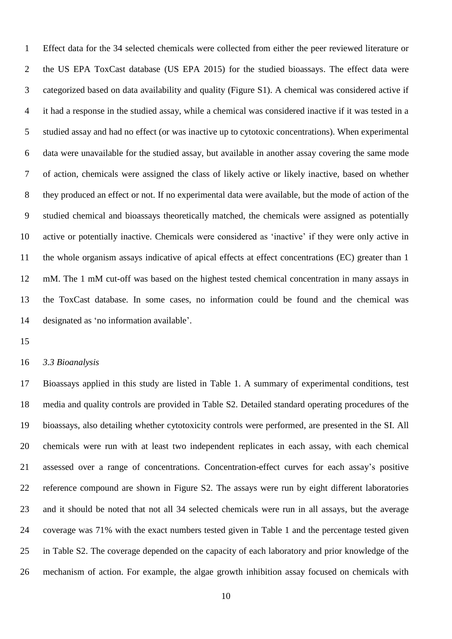Effect data for the 34 selected chemicals were collected from either the peer reviewed literature or the US EPA ToxCast database (US EPA 2015) for the studied bioassays. The effect data were categorized based on data availability and quality (Figure S1). A chemical was considered active if it had a response in the studied assay, while a chemical was considered inactive if it was tested in a studied assay and had no effect (or was inactive up to cytotoxic concentrations). When experimental data were unavailable for the studied assay, but available in another assay covering the same mode of action, chemicals were assigned the class of likely active or likely inactive, based on whether they produced an effect or not. If no experimental data were available, but the mode of action of the studied chemical and bioassays theoretically matched, the chemicals were assigned as potentially active or potentially inactive. Chemicals were considered as 'inactive' if they were only active in the whole organism assays indicative of apical effects at effect concentrations (EC) greater than 1 mM. The 1 mM cut-off was based on the highest tested chemical concentration in many assays in the ToxCast database. In some cases, no information could be found and the chemical was designated as 'no information available'.

#### *3.3 Bioanalysis*

 Bioassays applied in this study are listed in Table 1. A summary of experimental conditions, test media and quality controls are provided in Table S2. Detailed standard operating procedures of the bioassays, also detailing whether cytotoxicity controls were performed, are presented in the SI. All chemicals were run with at least two independent replicates in each assay, with each chemical assessed over a range of concentrations. Concentration-effect curves for each assay's positive reference compound are shown in Figure S2. The assays were run by eight different laboratories and it should be noted that not all 34 selected chemicals were run in all assays, but the average coverage was 71% with the exact numbers tested given in Table 1 and the percentage tested given in Table S2. The coverage depended on the capacity of each laboratory and prior knowledge of the mechanism of action. For example, the algae growth inhibition assay focused on chemicals with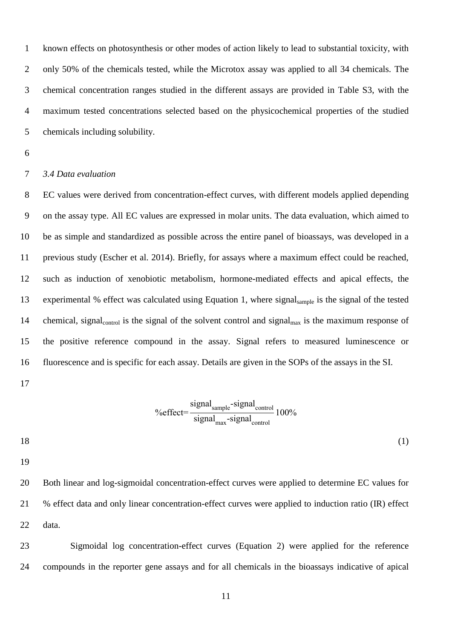known effects on photosynthesis or other modes of action likely to lead to substantial toxicity, with only 50% of the chemicals tested, while the Microtox assay was applied to all 34 chemicals. The chemical concentration ranges studied in the different assays are provided in Table S3, with the maximum tested concentrations selected based on the physicochemical properties of the studied chemicals including solubility.

# *3.4 Data evaluation*

 EC values were derived from concentration-effect curves, with different models applied depending on the assay type. All EC values are expressed in molar units. The data evaluation, which aimed to be as simple and standardized as possible across the entire panel of bioassays, was developed in a previous study (Escher et al. 2014). Briefly, for assays where a maximum effect could be reached, such as induction of xenobiotic metabolism, hormone-mediated effects and apical effects, the experimental % effect was calculated using Equation 1, where signalsample is the signal of the tested 14 chemical, signal<sub>control</sub> is the signal of the solvent control and signal<sub>max</sub> is the maximum response of the positive reference compound in the assay. Signal refers to measured luminescence or fluorescence and is specific for each assay. Details are given in the SOPs of the assays in the SI.

%effect=
$$
\frac{\text{signal}_{\text{sample}} - \text{signal}_{\text{control}}}{\text{signal}_{\text{max}} - \text{signal}_{\text{control}}}
$$
100%

(1)

 Both linear and log-sigmoidal concentration-effect curves were applied to determine EC values for % effect data and only linear concentration-effect curves were applied to induction ratio (IR) effect data.

 Sigmoidal log concentration-effect curves (Equation 2) were applied for the reference compounds in the reporter gene assays and for all chemicals in the bioassays indicative of apical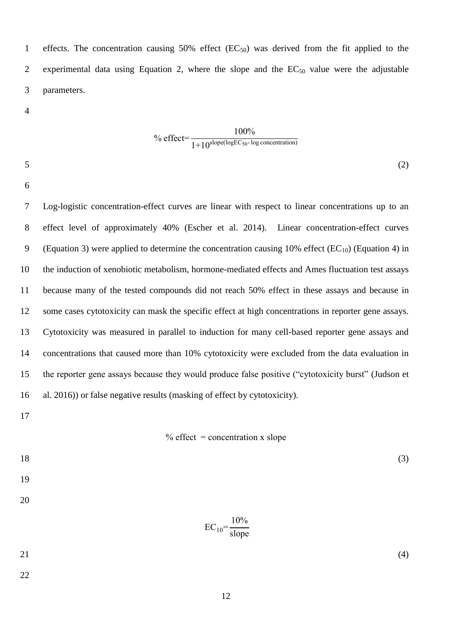1 effects. The concentration causing 50% effect  $(EC_{50})$  was derived from the fit applied to the 2 experimental data using Equation 2, where the slope and the  $EC_{50}$  value were the adjustable parameters.

<sup>9</sup> of feet=
$$
\frac{100\%}{1+10^{\text{slope}(\text{logEC}_{50}-\text{log concentration})}}
$$

 $5^{(2)}$ 

 Log-logistic concentration-effect curves are linear with respect to linear concentrations up to an effect level of approximately 40% (Escher et al. 2014). Linear concentration-effect curves 9 (Equation 3) were applied to determine the concentration causing 10% effect ( $EC_{10}$ ) (Equation 4) in the induction of xenobiotic metabolism, hormone-mediated effects and Ames fluctuation test assays because many of the tested compounds did not reach 50% effect in these assays and because in some cases cytotoxicity can mask the specific effect at high concentrations in reporter gene assays. Cytotoxicity was measured in parallel to induction for many cell-based reporter gene assays and concentrations that caused more than 10% cytotoxicity were excluded from the data evaluation in the reporter gene assays because they would produce false positive ("cytotoxicity burst" (Judson et al. 2016)) or false negative results (masking of effect by cytotoxicity).

#### $%$  effect = concentration x slope

| 18 |                                | (3) |
|----|--------------------------------|-----|
| 19 |                                |     |
| 20 |                                |     |
|    | $EC_{10} = \frac{10\%}{slope}$ |     |
| 21 |                                | (4) |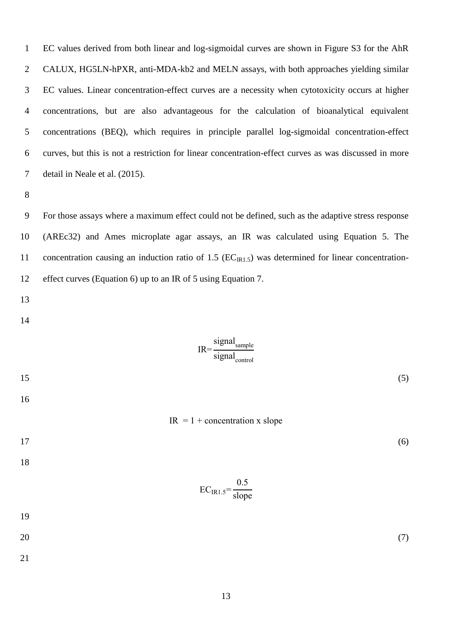EC values derived from both linear and log-sigmoidal curves are shown in Figure S3 for the AhR CALUX, HG5LN-hPXR, anti-MDA-kb2 and MELN assays, with both approaches yielding similar EC values. Linear concentration-effect curves are a necessity when cytotoxicity occurs at higher concentrations, but are also advantageous for the calculation of bioanalytical equivalent concentrations (BEQ), which requires in principle parallel log-sigmoidal concentration-effect curves, but this is not a restriction for linear concentration-effect curves as was discussed in more detail in Neale et al. (2015).

 For those assays where a maximum effect could not be defined, such as the adaptive stress response (AREc32) and Ames microplate agar assays, an IR was calculated using Equation 5. The 11 concentration causing an induction ratio of 1.5  $(EC_{IR1.5})$  was determined for linear concentration-effect curves (Equation 6) up to an IR of 5 using Equation 7.

$$
IR = \frac{\text{signal}_{\text{sample}}}{\text{signal}_{\text{control}}}
$$
\n
$$
IR = 1 + \text{concentration} \times \text{slope}
$$
\n
$$
EC_{IR1.5} = \frac{0.5}{\text{slope}}
$$
\n
$$
19
$$
\n
$$
20
$$
\n
$$
(7)
$$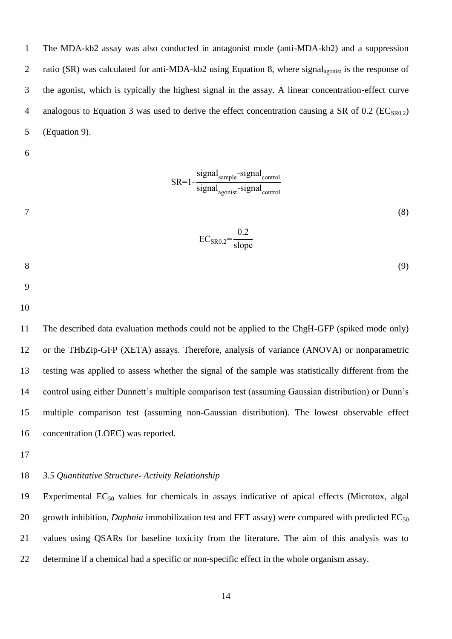The MDA-kb2 assay was also conducted in antagonist mode (anti-MDA-kb2) and a suppression 2 ratio (SR) was calculated for anti-MDA-kb2 using Equation 8, where signal<sub>agonist</sub> is the response of the agonist, which is typically the highest signal in the assay. A linear concentration-effect curve 4 analogous to Equation 3 was used to derive the effect concentration causing a SR of 0.2 ( $EC<sub>SR0.2</sub>$ ) (Equation 9).

 $SR=1-\frac{\text{signal}_{\text{sample}}-\text{signal}_{\text{control}}}{\text{parallel}}$ 

$$
SC_{\rm{SRO},2} = \frac{0.2}{\rm{slope}}
$$
 (8)

$$
8 \tag{9}
$$

 The described data evaluation methods could not be applied to the ChgH-GFP (spiked mode only) or the THbZip-GFP (XETA) assays. Therefore, analysis of variance (ANOVA) or nonparametric testing was applied to assess whether the signal of the sample was statistically different from the control using either Dunnett's multiple comparison test (assuming Gaussian distribution) or Dunn's multiple comparison test (assuming non-Gaussian distribution). The lowest observable effect concentration (LOEC) was reported.

# *3.5 Quantitative Structure- Activity Relationship*

19 Experimental  $EC_{50}$  values for chemicals in assays indicative of apical effects (Microtox, algal 20 growth inhibition, *Daphnia* immobilization test and FET assay) were compared with predicted  $EC_{50}$  values using QSARs for baseline toxicity from the literature. The aim of this analysis was to determine if a chemical had a specific or non-specific effect in the whole organism assay.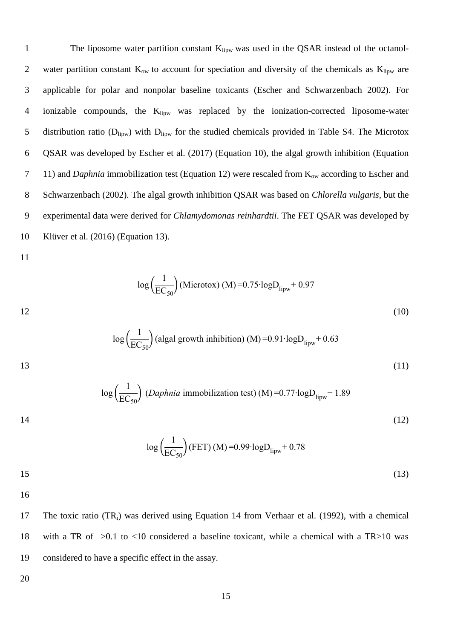1 The liposome water partition constant K<sub>lipw</sub> was used in the QSAR instead of the octanol-2 water partition constant  $K_{ow}$  to account for speciation and diversity of the chemicals as  $K_{\text{lipw}}$  are 3 applicable for polar and nonpolar baseline toxicants (Escher and Schwarzenbach 2002). For 4 ionizable compounds, the K<sub>lipw</sub> was replaced by the ionization-corrected liposome-water 5 distribution ratio ( $D_{\text{lipw}}$ ) with  $D_{\text{lipw}}$  for the studied chemicals provided in Table S4. The Microtox 6 QSAR was developed by Escher et al. (2017) (Equation 10), the algal growth inhibition (Equation 7 11) and *Daphnia* immobilization test (Equation 12) were rescaled from K<sub>ow</sub> according to Escher and 8 Schwarzenbach (2002). The algal growth inhibition QSAR was based on *Chlorella vulgaris*, but the 9 experimental data were derived for *Chlamydomonas reinhardtii*. The FET QSAR was developed by 10 Klüver et al. (2016) (Equation 13).

11

$$
\log\left(\frac{1}{\text{EC}_{50}}\right)
$$
(Microtox) (M) = 0.75·logD<sub>lipw</sub> + 0.97  
12 (10)

$$
\log\left(\frac{1}{\text{EC}_{50}}\right)
$$
 (algal growth inhibition) (M) =0.91·logD<sub>lipw</sub>+0.63 (11)

$$
\log\left(\frac{1}{\text{EC}_{50}}\right) \text{ (Daphnia immobilization test) (M) = 0.77 \cdot \log D_{\text{lipw}} + 1.89
$$

 $14$  (12)

log ( 1  $\frac{1}{\text{EC}_{50}}$  (FET) (M) =0.99⋅logD<sub>lipw</sub> + 0.78  $15$  (13)

16

17 The toxic ratio (TR<sub>i</sub>) was derived using Equation 14 from Verhaar et al. (1992), with a chemical 18 with a TR of >0.1 to <10 considered a baseline toxicant, while a chemical with a TR>10 was 19 considered to have a specific effect in the assay.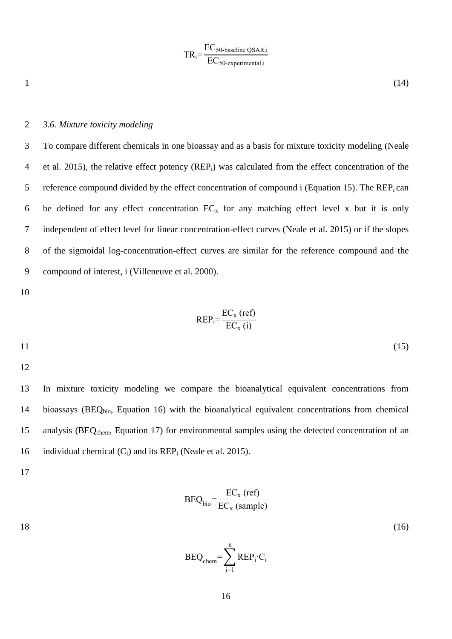$$
TR_i = \frac{EC_{50\text{-baseline QSAR},i}}{EC_{50\text{-experimental},i}}
$$

 $1 \t(14)$ 

# 2 *3.6. Mixture toxicity modeling*

3 To compare different chemicals in one bioassay and as a basis for mixture toxicity modeling (Neale 4 et al. 2015), the relative effect potency (REP<sub>i</sub>) was calculated from the effect concentration of the 5 reference compound divided by the effect concentration of compound i (Equation 15). The  $\text{REP}_i$  can 6 be defined for any effect concentration  $EC_x$  for any matching effect level x but it is only 7 independent of effect level for linear concentration-effect curves (Neale et al. 2015) or if the slopes 8 of the sigmoidal log-concentration-effect curves are similar for the reference compound and the 9 compound of interest, i (Villeneuve et al. 2000).

10

$$
REP_i = \frac{EC_x \text{ (ref)}}{EC_x \text{ (i)}}
$$
  
11 (15)

12

13 In mixture toxicity modeling we compare the bioanalytical equivalent concentrations from 14 bioassays (BEQ<sub>bio</sub>, Equation 16) with the bioanalytical equivalent concentrations from chemical 15 analysis (BEQ<sub>chem</sub>, Equation 17) for environmental samples using the detected concentration of an 16 individual chemical  $(C_i)$  and its REP<sub>i</sub> (Neale et al. 2015).

17

$$
BEQ_{bio} = \frac{EC_x (ref)}{EC_x (sample)}
$$

 $18$  (16)

$$
BEQ_{chem} = \sum_{i=1}^{n} REP_i \cdot C_i
$$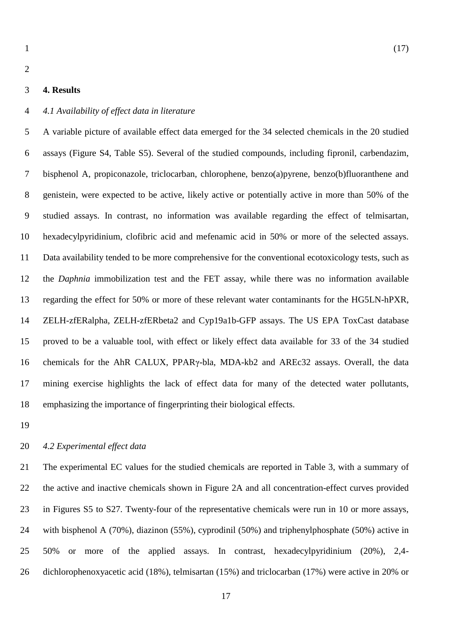# **4. Results**

#### *4.1 Availability of effect data in literature*

 A variable picture of available effect data emerged for the 34 selected chemicals in the 20 studied assays (Figure S4, Table S5). Several of the studied compounds, including fipronil, carbendazim, bisphenol A, propiconazole, triclocarban, chlorophene, benzo(a)pyrene, benzo(b)fluoranthene and genistein, were expected to be active, likely active or potentially active in more than 50% of the studied assays. In contrast, no information was available regarding the effect of telmisartan, hexadecylpyridinium, clofibric acid and mefenamic acid in 50% or more of the selected assays. Data availability tended to be more comprehensive for the conventional ecotoxicology tests, such as the *Daphnia* immobilization test and the FET assay, while there was no information available regarding the effect for 50% or more of these relevant water contaminants for the HG5LN-hPXR, ZELH-zfERalpha, ZELH-zfERbeta2 and Cyp19a1b-GFP assays. The US EPA ToxCast database proved to be a valuable tool, with effect or likely effect data available for 33 of the 34 studied chemicals for the AhR CALUX, PPARγ-bla, MDA-kb2 and AREc32 assays. Overall, the data mining exercise highlights the lack of effect data for many of the detected water pollutants, emphasizing the importance of fingerprinting their biological effects.

# *4.2 Experimental effect data*

 The experimental EC values for the studied chemicals are reported in Table 3, with a summary of the active and inactive chemicals shown in Figure 2A and all concentration-effect curves provided in Figures S5 to S27. Twenty-four of the representative chemicals were run in 10 or more assays, with bisphenol A (70%), diazinon (55%), cyprodinil (50%) and triphenylphosphate (50%) active in 50% or more of the applied assays. In contrast, hexadecylpyridinium (20%), 2,4- dichlorophenoxyacetic acid (18%), telmisartan (15%) and triclocarban (17%) were active in 20% or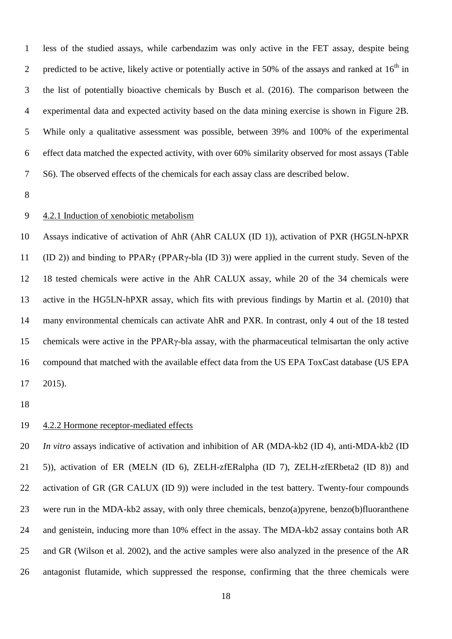less of the studied assays, while carbendazim was only active in the FET assay, despite being 2 predicted to be active, likely active or potentially active in 50% of the assays and ranked at  $16<sup>th</sup>$  in the list of potentially bioactive chemicals by Busch et al. (2016). The comparison between the experimental data and expected activity based on the data mining exercise is shown in Figure 2B. While only a qualitative assessment was possible, between 39% and 100% of the experimental effect data matched the expected activity, with over 60% similarity observed for most assays (Table S6). The observed effects of the chemicals for each assay class are described below.

### 4.2.1 Induction of xenobiotic metabolism

 Assays indicative of activation of AhR (AhR CALUX (ID 1)), activation of PXR (HG5LN-hPXR (ID 2)) and binding to PPARγ (PPARγ-bla (ID 3)) were applied in the current study. Seven of the 18 tested chemicals were active in the AhR CALUX assay, while 20 of the 34 chemicals were active in the HG5LN-hPXR assay, which fits with previous findings by Martin et al. (2010) that many environmental chemicals can activate AhR and PXR. In contrast, only 4 out of the 18 tested chemicals were active in the PPARγ-bla assay, with the pharmaceutical telmisartan the only active compound that matched with the available effect data from the US EPA ToxCast database (US EPA 2015).

# 4.2.2 Hormone receptor-mediated effects

 *In vitro* assays indicative of activation and inhibition of AR (MDA-kb2 (ID 4), anti-MDA-kb2 (ID 5)), activation of ER (MELN (ID 6), ZELH-zfERalpha (ID 7), ZELH-zfERbeta2 (ID 8)) and 22 activation of GR (GR CALUX (ID 9)) were included in the test battery. Twenty-four compounds were run in the MDA-kb2 assay, with only three chemicals, benzo(a)pyrene, benzo(b)fluoranthene and genistein, inducing more than 10% effect in the assay. The MDA-kb2 assay contains both AR and GR (Wilson et al. 2002), and the active samples were also analyzed in the presence of the AR antagonist flutamide, which suppressed the response, confirming that the three chemicals were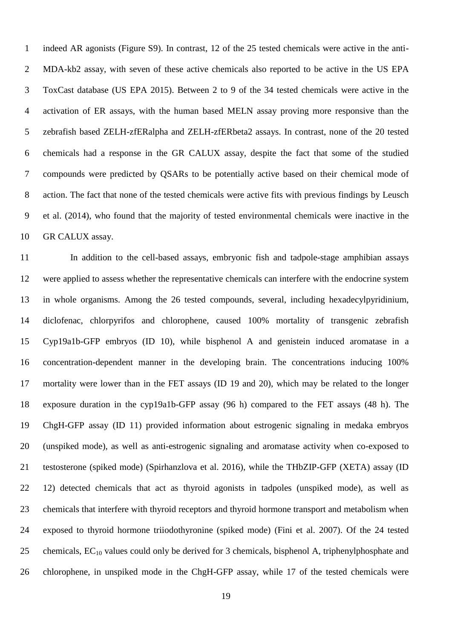indeed AR agonists (Figure S9). In contrast, 12 of the 25 tested chemicals were active in the anti- MDA-kb2 assay, with seven of these active chemicals also reported to be active in the US EPA ToxCast database (US EPA 2015). Between 2 to 9 of the 34 tested chemicals were active in the activation of ER assays, with the human based MELN assay proving more responsive than the zebrafish based ZELH-zfERalpha and ZELH-zfERbeta2 assays. In contrast, none of the 20 tested chemicals had a response in the GR CALUX assay, despite the fact that some of the studied compounds were predicted by QSARs to be potentially active based on their chemical mode of action. The fact that none of the tested chemicals were active fits with previous findings by Leusch et al. (2014), who found that the majority of tested environmental chemicals were inactive in the GR CALUX assay.

 In addition to the cell-based assays, embryonic fish and tadpole-stage amphibian assays were applied to assess whether the representative chemicals can interfere with the endocrine system in whole organisms. Among the 26 tested compounds, several, including hexadecylpyridinium, diclofenac, chlorpyrifos and chlorophene, caused 100% mortality of transgenic zebrafish Cyp19a1b-GFP embryos (ID 10), while bisphenol A and genistein induced aromatase in a concentration-dependent manner in the developing brain. The concentrations inducing 100% mortality were lower than in the FET assays (ID 19 and 20), which may be related to the longer exposure duration in the cyp19a1b-GFP assay (96 h) compared to the FET assays (48 h). The ChgH-GFP assay (ID 11) provided information about estrogenic signaling in medaka embryos (unspiked mode), as well as anti-estrogenic signaling and aromatase activity when co-exposed to testosterone (spiked mode) (Spirhanzlova et al. 2016), while the THbZIP-GFP (XETA) assay (ID 12) detected chemicals that act as thyroid agonists in tadpoles (unspiked mode), as well as chemicals that interfere with thyroid receptors and thyroid hormone transport and metabolism when exposed to thyroid hormone triiodothyronine (spiked mode) (Fini et al. 2007). Of the 24 tested 25 chemicals,  $EC_{10}$  values could only be derived for 3 chemicals, bisphenol A, triphenylphosphate and chlorophene, in unspiked mode in the ChgH-GFP assay, while 17 of the tested chemicals were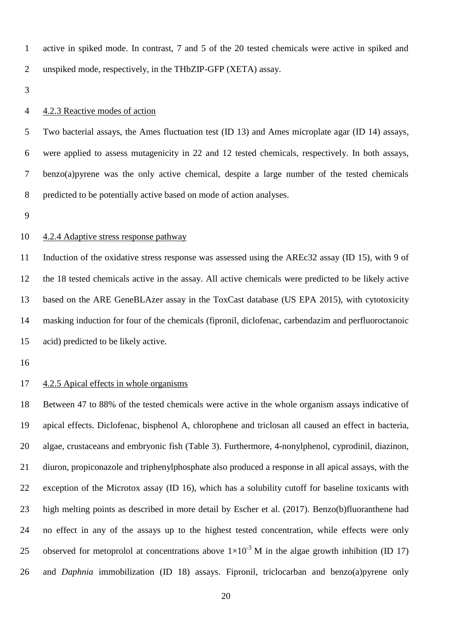active in spiked mode. In contrast, 7 and 5 of the 20 tested chemicals were active in spiked and unspiked mode, respectively, in the THbZIP-GFP (XETA) assay.

#### 4.2.3 Reactive modes of action

 Two bacterial assays, the Ames fluctuation test (ID 13) and Ames microplate agar (ID 14) assays, were applied to assess mutagenicity in 22 and 12 tested chemicals, respectively. In both assays, benzo(a)pyrene was the only active chemical, despite a large number of the tested chemicals predicted to be potentially active based on mode of action analyses.

#### 4.2.4 Adaptive stress response pathway

 Induction of the oxidative stress response was assessed using the AREc32 assay (ID 15), with 9 of the 18 tested chemicals active in the assay. All active chemicals were predicted to be likely active based on the ARE GeneBLAzer assay in the ToxCast database (US EPA 2015), with cytotoxicity masking induction for four of the chemicals (fipronil, diclofenac, carbendazim and perfluoroctanoic acid) predicted to be likely active.

#### 4.2.5 Apical effects in whole organisms

 Between 47 to 88% of the tested chemicals were active in the whole organism assays indicative of apical effects. Diclofenac, bisphenol A, chlorophene and triclosan all caused an effect in bacteria, algae, crustaceans and embryonic fish (Table 3). Furthermore, 4-nonylphenol, cyprodinil, diazinon, diuron, propiconazole and triphenylphosphate also produced a response in all apical assays, with the exception of the Microtox assay (ID 16), which has a solubility cutoff for baseline toxicants with high melting points as described in more detail by Escher et al. (2017). Benzo(b)fluoranthene had no effect in any of the assays up to the highest tested concentration, while effects were only 25 observed for metoprolol at concentrations above  $1\times10^{-3}$  M in the algae growth inhibition (ID 17) and *Daphnia* immobilization (ID 18) assays. Fipronil, triclocarban and benzo(a)pyrene only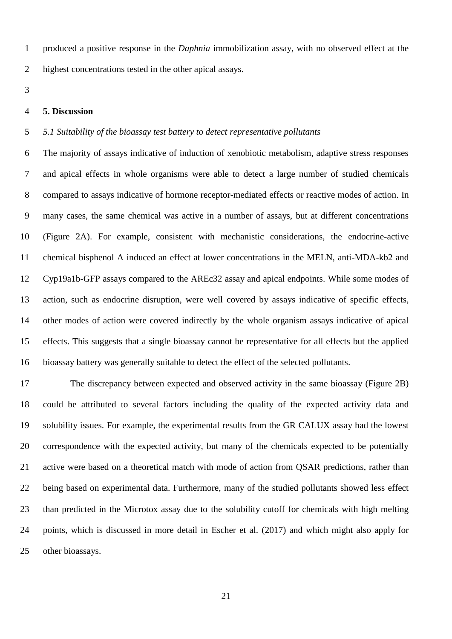produced a positive response in the *Daphnia* immobilization assay, with no observed effect at the highest concentrations tested in the other apical assays.

#### **5. Discussion**

# *5.1 Suitability of the bioassay test battery to detect representative pollutants*

 The majority of assays indicative of induction of xenobiotic metabolism, adaptive stress responses and apical effects in whole organisms were able to detect a large number of studied chemicals compared to assays indicative of hormone receptor-mediated effects or reactive modes of action. In many cases, the same chemical was active in a number of assays, but at different concentrations (Figure 2A). For example, consistent with mechanistic considerations, the endocrine-active chemical bisphenol A induced an effect at lower concentrations in the MELN, anti-MDA-kb2 and Cyp19a1b-GFP assays compared to the AREc32 assay and apical endpoints. While some modes of action, such as endocrine disruption, were well covered by assays indicative of specific effects, other modes of action were covered indirectly by the whole organism assays indicative of apical effects. This suggests that a single bioassay cannot be representative for all effects but the applied bioassay battery was generally suitable to detect the effect of the selected pollutants.

 The discrepancy between expected and observed activity in the same bioassay (Figure 2B) could be attributed to several factors including the quality of the expected activity data and solubility issues. For example, the experimental results from the GR CALUX assay had the lowest correspondence with the expected activity, but many of the chemicals expected to be potentially active were based on a theoretical match with mode of action from QSAR predictions, rather than being based on experimental data. Furthermore, many of the studied pollutants showed less effect than predicted in the Microtox assay due to the solubility cutoff for chemicals with high melting points, which is discussed in more detail in Escher et al. (2017) and which might also apply for other bioassays.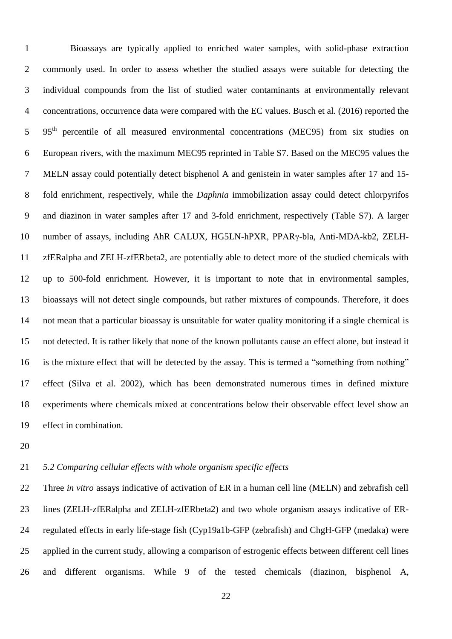Bioassays are typically applied to enriched water samples, with solid-phase extraction commonly used. In order to assess whether the studied assays were suitable for detecting the individual compounds from the list of studied water contaminants at environmentally relevant concentrations, occurrence data were compared with the EC values. Busch et al. (2016) reported the 5 95<sup>th</sup> percentile of all measured environmental concentrations (MEC95) from six studies on European rivers, with the maximum MEC95 reprinted in Table S7. Based on the MEC95 values the MELN assay could potentially detect bisphenol A and genistein in water samples after 17 and 15- fold enrichment, respectively, while the *Daphnia* immobilization assay could detect chlorpyrifos and diazinon in water samples after 17 and 3-fold enrichment, respectively (Table S7). A larger number of assays, including AhR CALUX, HG5LN-hPXR, PPARγ-bla, Anti-MDA-kb2, ZELH- zfERalpha and ZELH-zfERbeta2, are potentially able to detect more of the studied chemicals with up to 500-fold enrichment. However, it is important to note that in environmental samples, bioassays will not detect single compounds, but rather mixtures of compounds. Therefore, it does not mean that a particular bioassay is unsuitable for water quality monitoring if a single chemical is not detected. It is rather likely that none of the known pollutants cause an effect alone, but instead it is the mixture effect that will be detected by the assay. This is termed a "something from nothing" effect (Silva et al. 2002), which has been demonstrated numerous times in defined mixture experiments where chemicals mixed at concentrations below their observable effect level show an effect in combination.

# *5.2 Comparing cellular effects with whole organism specific effects*

 Three *in vitro* assays indicative of activation of ER in a human cell line (MELN) and zebrafish cell lines (ZELH-zfERalpha and ZELH-zfERbeta2) and two whole organism assays indicative of ER- regulated effects in early life-stage fish (Cyp19a1b-GFP (zebrafish) and ChgH-GFP (medaka) were applied in the current study, allowing a comparison of estrogenic effects between different cell lines and different organisms. While 9 of the tested chemicals (diazinon, bisphenol A,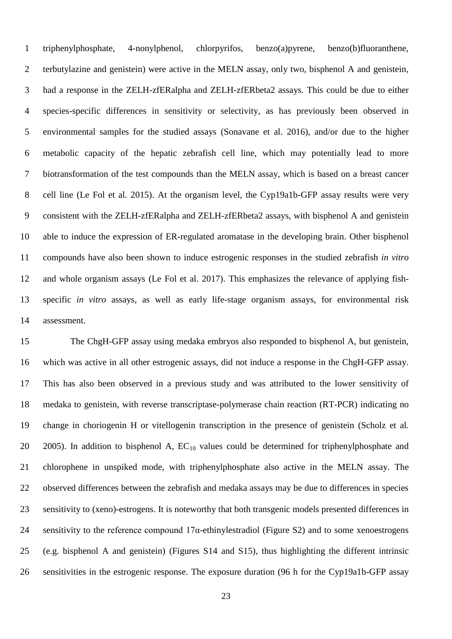triphenylphosphate, 4-nonylphenol, chlorpyrifos, benzo(a)pyrene, benzo(b)fluoranthene, terbutylazine and genistein) were active in the MELN assay, only two, bisphenol A and genistein, had a response in the ZELH-zfERalpha and ZELH-zfERbeta2 assays. This could be due to either species-specific differences in sensitivity or selectivity, as has previously been observed in environmental samples for the studied assays (Sonavane et al. 2016), and/or due to the higher metabolic capacity of the hepatic zebrafish cell line, which may potentially lead to more biotransformation of the test compounds than the MELN assay, which is based on a breast cancer cell line (Le Fol et al. 2015). At the organism level, the Cyp19a1b-GFP assay results were very consistent with the ZELH-zfERalpha and ZELH-zfERbeta2 assays, with bisphenol A and genistein able to induce the expression of ER-regulated aromatase in the developing brain. Other bisphenol compounds have also been shown to induce estrogenic responses in the studied zebrafish *in vitro* and whole organism assays (Le Fol et al. 2017). This emphasizes the relevance of applying fish- specific *in vitro* assays, as well as early life-stage organism assays, for environmental risk assessment.

 The ChgH-GFP assay using medaka embryos also responded to bisphenol A, but genistein, which was active in all other estrogenic assays, did not induce a response in the ChgH-GFP assay. This has also been observed in a previous study and was attributed to the lower sensitivity of medaka to genistein, with reverse transcriptase-polymerase chain reaction (RT-PCR) indicating no change in choriogenin H or vitellogenin transcription in the presence of genistein (Scholz et al. 20 2005). In addition to bisphenol A,  $EC_{10}$  values could be determined for triphenylphosphate and chlorophene in unspiked mode, with triphenylphosphate also active in the MELN assay. The observed differences between the zebrafish and medaka assays may be due to differences in species sensitivity to (xeno)-estrogens. It is noteworthy that both transgenic models presented differences in 24 sensitivity to the reference compound  $17\alpha$ -ethinylestradiol (Figure S2) and to some xenoestrogens (e.g. bisphenol A and genistein) (Figures S14 and S15), thus highlighting the different intrinsic sensitivities in the estrogenic response. The exposure duration (96 h for the Cyp19a1b-GFP assay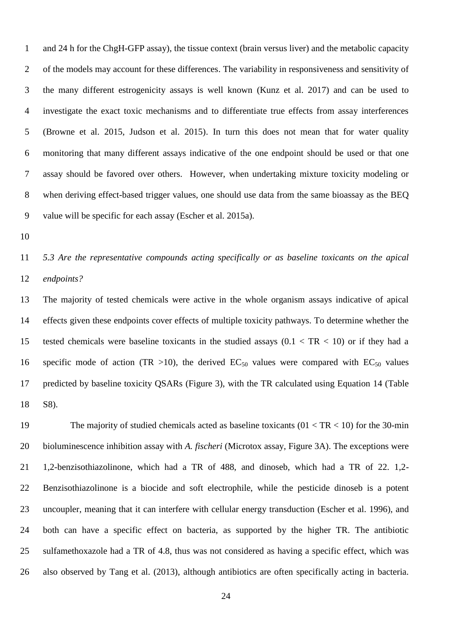and 24 h for the ChgH-GFP assay), the tissue context (brain versus liver) and the metabolic capacity of the models may account for these differences. The variability in responsiveness and sensitivity of the many different estrogenicity assays is well known (Kunz et al. 2017) and can be used to investigate the exact toxic mechanisms and to differentiate true effects from assay interferences (Browne et al. 2015, Judson et al. 2015). In turn this does not mean that for water quality monitoring that many different assays indicative of the one endpoint should be used or that one assay should be favored over others. However, when undertaking mixture toxicity modeling or when deriving effect-based trigger values, one should use data from the same bioassay as the BEQ value will be specific for each assay (Escher et al. 2015a).

 *5.3 Are the representative compounds acting specifically or as baseline toxicants on the apical endpoints?*

 The majority of tested chemicals were active in the whole organism assays indicative of apical effects given these endpoints cover effects of multiple toxicity pathways. To determine whether the 15 tested chemicals were baseline toxicants in the studied assays  $(0.1 < TR < 10)$  or if they had a 16 specific mode of action (TR >10), the derived  $EC_{50}$  values were compared with  $EC_{50}$  values predicted by baseline toxicity QSARs (Figure 3), with the TR calculated using Equation 14 (Table S8).

19 The majority of studied chemicals acted as baseline toxicants (01 < TR < 10) for the 30-min bioluminescence inhibition assay with *A. fischeri* (Microtox assay, Figure 3A). The exceptions were 1,2-benzisothiazolinone, which had a TR of 488, and dinoseb, which had a TR of 22. 1,2- Benzisothiazolinone is a biocide and soft electrophile, while the pesticide dinoseb is a potent uncoupler, meaning that it can interfere with cellular energy transduction (Escher et al. 1996), and both can have a specific effect on bacteria, as supported by the higher TR. The antibiotic sulfamethoxazole had a TR of 4.8, thus was not considered as having a specific effect, which was also observed by Tang et al. (2013), although antibiotics are often specifically acting in bacteria.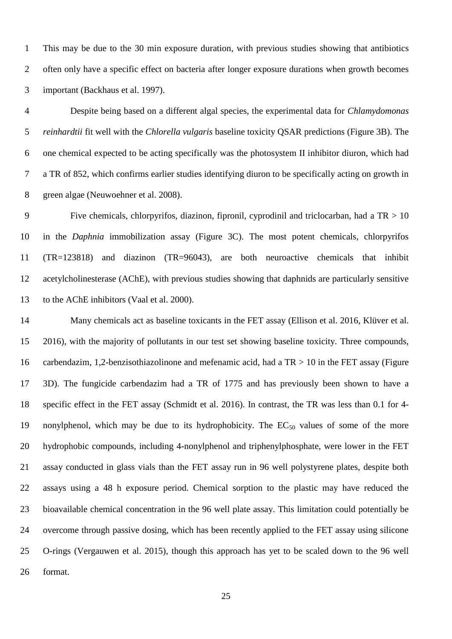This may be due to the 30 min exposure duration, with previous studies showing that antibiotics often only have a specific effect on bacteria after longer exposure durations when growth becomes important (Backhaus et al. 1997).

 Despite being based on a different algal species, the experimental data for *Chlamydomonas reinhardtii* fit well with the *Chlorella vulgaris* baseline toxicity QSAR predictions (Figure 3B). The one chemical expected to be acting specifically was the photosystem II inhibitor diuron, which had a TR of 852, which confirms earlier studies identifying diuron to be specifically acting on growth in green algae (Neuwoehner et al. 2008).

9 Five chemicals, chlorpyrifos, diazinon, fipronil, cyprodinil and triclocarban, had a  $TR > 10$  in the *Daphnia* immobilization assay (Figure 3C). The most potent chemicals, chlorpyrifos (TR=123818) and diazinon (TR=96043), are both neuroactive chemicals that inhibit acetylcholinesterase (AChE), with previous studies showing that daphnids are particularly sensitive to the AChE inhibitors (Vaal et al. 2000).

14 Many chemicals act as baseline toxicants in the FET assay (Ellison et al. 2016, Klüver et al. 2016), with the majority of pollutants in our test set showing baseline toxicity*.* Three compounds, carbendazim, 1,2-benzisothiazolinone and mefenamic acid, had a TR > 10 in the FET assay (Figure 3D). The fungicide carbendazim had a TR of 1775 and has previously been shown to have a specific effect in the FET assay (Schmidt et al. 2016). In contrast, the TR was less than 0.1 for 4- 19 nonylphenol, which may be due to its hydrophobicity. The  $EC_{50}$  values of some of the more hydrophobic compounds, including 4-nonylphenol and triphenylphosphate, were lower in the FET assay conducted in glass vials than the FET assay run in 96 well polystyrene plates, despite both assays using a 48 h exposure period. Chemical sorption to the plastic may have reduced the bioavailable chemical concentration in the 96 well plate assay. This limitation could potentially be overcome through passive dosing, which has been recently applied to the FET assay using silicone O-rings (Vergauwen et al. 2015), though this approach has yet to be scaled down to the 96 well format.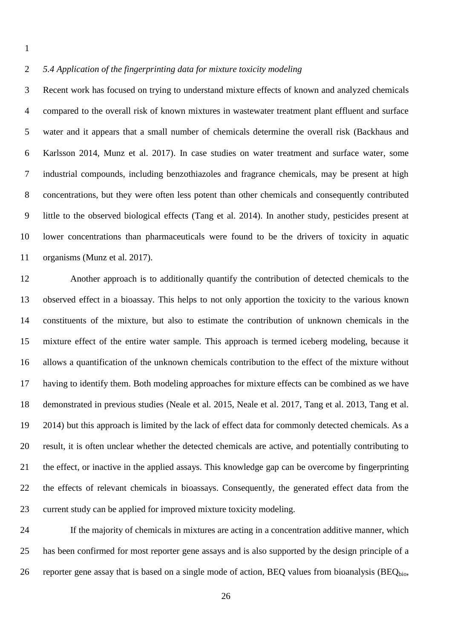#### *5.4 Application of the fingerprinting data for mixture toxicity modeling*

 Recent work has focused on trying to understand mixture effects of known and analyzed chemicals compared to the overall risk of known mixtures in wastewater treatment plant effluent and surface water and it appears that a small number of chemicals determine the overall risk (Backhaus and Karlsson 2014, Munz et al. 2017). In case studies on water treatment and surface water, some industrial compounds, including benzothiazoles and fragrance chemicals, may be present at high concentrations, but they were often less potent than other chemicals and consequently contributed little to the observed biological effects (Tang et al. 2014). In another study, pesticides present at lower concentrations than pharmaceuticals were found to be the drivers of toxicity in aquatic organisms (Munz et al. 2017).

 Another approach is to additionally quantify the contribution of detected chemicals to the observed effect in a bioassay. This helps to not only apportion the toxicity to the various known constituents of the mixture, but also to estimate the contribution of unknown chemicals in the mixture effect of the entire water sample. This approach is termed iceberg modeling, because it allows a quantification of the unknown chemicals contribution to the effect of the mixture without having to identify them. Both modeling approaches for mixture effects can be combined as we have demonstrated in previous studies (Neale et al. 2015, Neale et al. 2017, Tang et al. 2013, Tang et al. 2014) but this approach is limited by the lack of effect data for commonly detected chemicals. As a result, it is often unclear whether the detected chemicals are active, and potentially contributing to the effect, or inactive in the applied assays. This knowledge gap can be overcome by fingerprinting the effects of relevant chemicals in bioassays. Consequently, the generated effect data from the current study can be applied for improved mixture toxicity modeling.

 If the majority of chemicals in mixtures are acting in a concentration additive manner, which has been confirmed for most reporter gene assays and is also supported by the design principle of a 26 reporter gene assay that is based on a single mode of action, BEQ values from bioanalysis (BEQ $_{\text{bio}}$ ,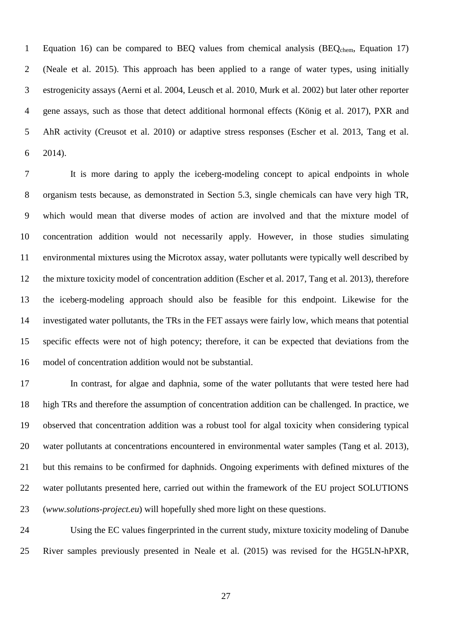1 Equation 16) can be compared to BEQ values from chemical analysis (BEQ<sub>chem</sub>, Equation 17) (Neale et al. 2015). This approach has been applied to a range of water types, using initially estrogenicity assays (Aerni et al. 2004, Leusch et al. 2010, Murk et al. 2002) but later other reporter gene assays, such as those that detect additional hormonal effects (König et al. 2017), PXR and AhR activity (Creusot et al. 2010) or adaptive stress responses (Escher et al. 2013, Tang et al. 2014).

 It is more daring to apply the iceberg-modeling concept to apical endpoints in whole organism tests because, as demonstrated in Section 5.3, single chemicals can have very high TR, which would mean that diverse modes of action are involved and that the mixture model of concentration addition would not necessarily apply. However, in those studies simulating environmental mixtures using the Microtox assay, water pollutants were typically well described by the mixture toxicity model of concentration addition (Escher et al. 2017, Tang et al. 2013), therefore the iceberg-modeling approach should also be feasible for this endpoint. Likewise for the investigated water pollutants, the TRs in the FET assays were fairly low, which means that potential specific effects were not of high potency; therefore, it can be expected that deviations from the model of concentration addition would not be substantial.

 In contrast, for algae and daphnia, some of the water pollutants that were tested here had high TRs and therefore the assumption of concentration addition can be challenged. In practice, we observed that concentration addition was a robust tool for algal toxicity when considering typical water pollutants at concentrations encountered in environmental water samples (Tang et al. 2013), but this remains to be confirmed for daphnids. Ongoing experiments with defined mixtures of the water pollutants presented here, carried out within the framework of the EU project SOLUTIONS (*www.solutions-project.eu*) will hopefully shed more light on these questions.

 Using the EC values fingerprinted in the current study, mixture toxicity modeling of Danube River samples previously presented in Neale et al. (2015) was revised for the HG5LN-hPXR,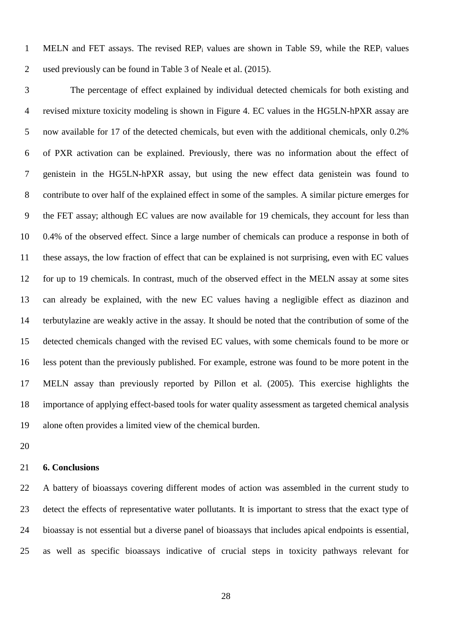MELN and FET assays. The revised REP<sup>i</sup> values are shown in Table S9, while the REP<sup>i</sup> values used previously can be found in Table 3 of Neale et al. (2015).

 The percentage of effect explained by individual detected chemicals for both existing and revised mixture toxicity modeling is shown in Figure 4. EC values in the HG5LN-hPXR assay are now available for 17 of the detected chemicals, but even with the additional chemicals, only 0.2% of PXR activation can be explained. Previously, there was no information about the effect of genistein in the HG5LN-hPXR assay, but using the new effect data genistein was found to contribute to over half of the explained effect in some of the samples. A similar picture emerges for the FET assay; although EC values are now available for 19 chemicals, they account for less than 0.4% of the observed effect. Since a large number of chemicals can produce a response in both of these assays, the low fraction of effect that can be explained is not surprising, even with EC values for up to 19 chemicals. In contrast, much of the observed effect in the MELN assay at some sites can already be explained, with the new EC values having a negligible effect as diazinon and terbutylazine are weakly active in the assay. It should be noted that the contribution of some of the detected chemicals changed with the revised EC values, with some chemicals found to be more or less potent than the previously published. For example, estrone was found to be more potent in the MELN assay than previously reported by Pillon et al. (2005). This exercise highlights the importance of applying effect-based tools for water quality assessment as targeted chemical analysis alone often provides a limited view of the chemical burden.

# **6. Conclusions**

 A battery of bioassays covering different modes of action was assembled in the current study to detect the effects of representative water pollutants. It is important to stress that the exact type of bioassay is not essential but a diverse panel of bioassays that includes apical endpoints is essential, as well as specific bioassays indicative of crucial steps in toxicity pathways relevant for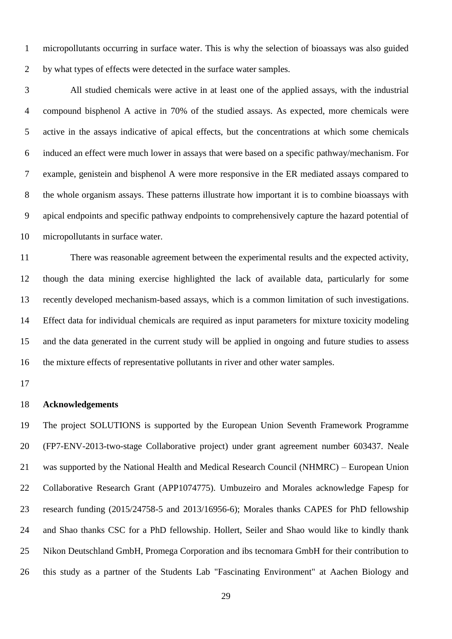micropollutants occurring in surface water. This is why the selection of bioassays was also guided by what types of effects were detected in the surface water samples.

 All studied chemicals were active in at least one of the applied assays, with the industrial compound bisphenol A active in 70% of the studied assays. As expected, more chemicals were active in the assays indicative of apical effects, but the concentrations at which some chemicals induced an effect were much lower in assays that were based on a specific pathway/mechanism. For example, genistein and bisphenol A were more responsive in the ER mediated assays compared to the whole organism assays. These patterns illustrate how important it is to combine bioassays with apical endpoints and specific pathway endpoints to comprehensively capture the hazard potential of micropollutants in surface water.

 There was reasonable agreement between the experimental results and the expected activity, though the data mining exercise highlighted the lack of available data, particularly for some recently developed mechanism-based assays, which is a common limitation of such investigations. Effect data for individual chemicals are required as input parameters for mixture toxicity modeling and the data generated in the current study will be applied in ongoing and future studies to assess the mixture effects of representative pollutants in river and other water samples.

#### **Acknowledgements**

 The project SOLUTIONS is supported by the European Union Seventh Framework Programme (FP7-ENV-2013-two-stage Collaborative project) under grant agreement number 603437. Neale was supported by the National Health and Medical Research Council (NHMRC) – European Union Collaborative Research Grant (APP1074775). Umbuzeiro and Morales acknowledge Fapesp for research funding (2015/24758-5 and 2013/16956-6); Morales thanks CAPES for PhD fellowship and Shao thanks CSC for a PhD fellowship. Hollert, Seiler and Shao would like to kindly thank Nikon Deutschland GmbH, Promega Corporation and ibs tecnomara GmbH for their contribution to this study as a partner of the Students Lab "Fascinating Environment" at Aachen Biology and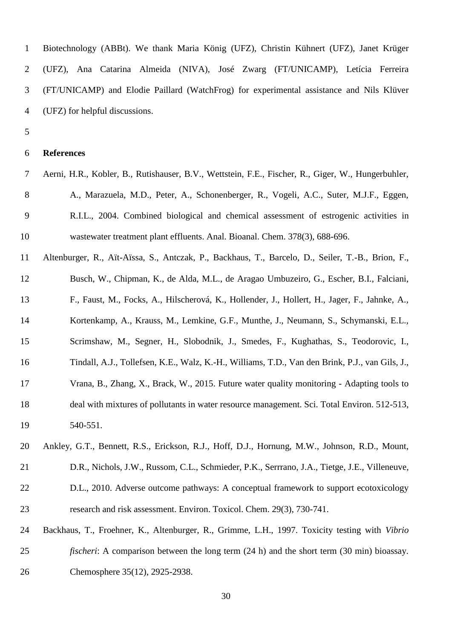| $\mathbf{1}$ | Biotechnology (ABBt). We thank Maria König (UFZ), Christin Kühnert (UFZ), Janet Krüger     |
|--------------|--------------------------------------------------------------------------------------------|
|              | 2 (UFZ), Ana Catarina Almeida (NIVA), José Zwarg (FT/UNICAMP), Letícia Ferreira            |
|              | 3 (FT/UNICAMP) and Elodie Paillard (WatchFrog) for experimental assistance and Nils Klüver |
|              | 4 (UFZ) for helpful discussions.                                                           |

#### **References**

- Aerni, H.R., Kobler, B., Rutishauser, B.V., Wettstein, F.E., Fischer, R., Giger, W., Hungerbuhler, 8 A., Marazuela, M.D., Peter, A., Schonenberger, R., Vogeli, A.C., Suter, M.J.F., Eggen, R.I.L., 2004. Combined biological and chemical assessment of estrogenic activities in wastewater treatment plant effluents. Anal. Bioanal. Chem. 378(3), 688-696.
- Altenburger, R., Aït-Aïssa, S., Antczak, P., Backhaus, T., Barcelo, D., Seiler, T.-B., Brion, F., Busch, W., Chipman, K., de Alda, M.L., de Aragao Umbuzeiro, G., Escher, B.I., Falciani, F., Faust, M., Focks, A., Hilscherová, K., Hollender, J., Hollert, H., Jager, F., Jahnke, A., Kortenkamp, A., Krauss, M., Lemkine, G.F., Munthe, J., Neumann, S., Schymanski, E.L., Scrimshaw, M., Segner, H., Slobodnik, J., Smedes, F., Kughathas, S., Teodorovic, I., Tindall, A.J., Tollefsen, K.E., Walz, K.-H., Williams, T.D., Van den Brink, P.J., van Gils, J., Vrana, B., Zhang, X., Brack, W., 2015. Future water quality monitoring - Adapting tools to deal with mixtures of pollutants in water resource management. Sci. Total Environ. 512-513, 540-551.
- Ankley, G.T., Bennett, R.S., Erickson, R.J., Hoff, D.J., Hornung, M.W., Johnson, R.D., Mount, D.R., Nichols, J.W., Russom, C.L., Schmieder, P.K., Serrrano, J.A., Tietge, J.E., Villeneuve,
- D.L., 2010. Adverse outcome pathways: A conceptual framework to support ecotoxicology research and risk assessment. Environ. Toxicol. Chem. 29(3), 730-741.
- Backhaus, T., Froehner, K., Altenburger, R., Grimme, L.H., 1997. Toxicity testing with *Vibrio fischeri*: A comparison between the long term (24 h) and the short term (30 min) bioassay. Chemosphere 35(12), 2925-2938.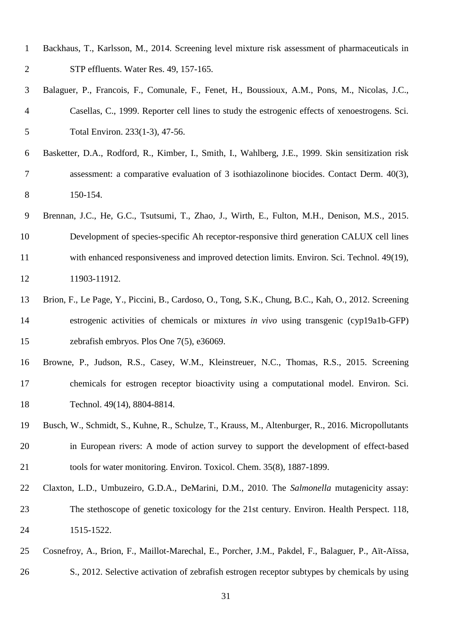- Backhaus, T., Karlsson, M., 2014. Screening level mixture risk assessment of pharmaceuticals in STP effluents. Water Res. 49, 157-165.
- Balaguer, P., Francois, F., Comunale, F., Fenet, H., Boussioux, A.M., Pons, M., Nicolas, J.C., Casellas, C., 1999. Reporter cell lines to study the estrogenic effects of xenoestrogens. Sci. Total Environ. 233(1-3), 47-56.
- Basketter, D.A., Rodford, R., Kimber, I., Smith, I., Wahlberg, J.E., 1999. Skin sensitization risk assessment: a comparative evaluation of 3 isothiazolinone biocides. Contact Derm. 40(3), 150-154.
- Brennan, J.C., He, G.C., Tsutsumi, T., Zhao, J., Wirth, E., Fulton, M.H., Denison, M.S., 2015. Development of species-specific Ah receptor-responsive third generation CALUX cell lines with enhanced responsiveness and improved detection limits. Environ. Sci. Technol. 49(19), 11903-11912.
- Brion, F., Le Page, Y., Piccini, B., Cardoso, O., Tong, S.K., Chung, B.C., Kah, O., 2012. Screening estrogenic activities of chemicals or mixtures *in vivo* using transgenic (cyp19a1b-GFP) zebrafish embryos. Plos One 7(5), e36069.
- Browne, P., Judson, R.S., Casey, W.M., Kleinstreuer, N.C., Thomas, R.S., 2015. Screening chemicals for estrogen receptor bioactivity using a computational model. Environ. Sci. Technol. 49(14), 8804-8814.
- Busch, W., Schmidt, S., Kuhne, R., Schulze, T., Krauss, M., Altenburger, R., 2016. Micropollutants in European rivers: A mode of action survey to support the development of effect-based tools for water monitoring. Environ. Toxicol. Chem. 35(8), 1887-1899.
- Claxton, L.D., Umbuzeiro, G.D.A., DeMarini, D.M., 2010. The *Salmonella* mutagenicity assay: The stethoscope of genetic toxicology for the 21st century. Environ. Health Perspect. 118, 1515-1522.
- Cosnefroy, A., Brion, F., Maillot-Marechal, E., Porcher, J.M., Pakdel, F., Balaguer, P., Aït-Aïssa, S., 2012. Selective activation of zebrafish estrogen receptor subtypes by chemicals by using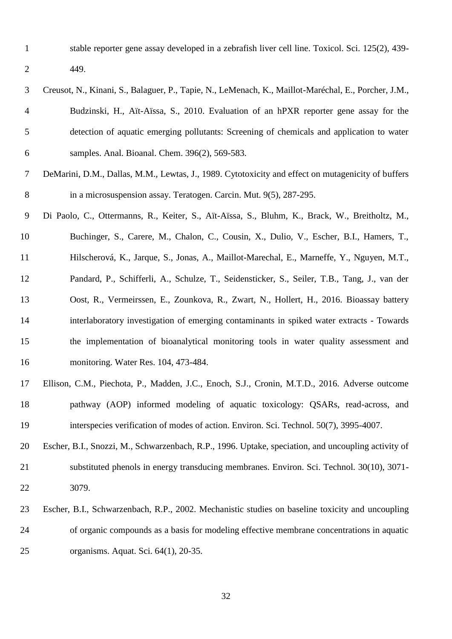stable reporter gene assay developed in a zebrafish liver cell line. Toxicol. Sci. 125(2), 439- 449.

 Creusot, N., Kinani, S., Balaguer, P., Tapie, N., LeMenach, K., Maillot-Maréchal, E., Porcher, J.M., Budzinski, H., Aït-Aïssa, S., 2010. Evaluation of an hPXR reporter gene assay for the detection of aquatic emerging pollutants: Screening of chemicals and application to water samples. Anal. Bioanal. Chem. 396(2), 569-583.

 DeMarini, D.M., Dallas, M.M., Lewtas, J., 1989. Cytotoxicity and effect on mutagenicity of buffers 8 in a microsuspension assay. Teratogen. Carcin. Mut. 9(5), 287-295.

 Di Paolo, C., Ottermanns, R., Keiter, S., Aït-Aïssa, S., Bluhm, K., Brack, W., Breitholtz, M., Buchinger, S., Carere, M., Chalon, C., Cousin, X., Dulio, V., Escher, B.I., Hamers, T., Hilscherová, K., Jarque, S., Jonas, A., Maillot-Marechal, E., Marneffe, Y., Nguyen, M.T., Pandard, P., Schifferli, A., Schulze, T., Seidensticker, S., Seiler, T.B., Tang, J., van der Oost, R., Vermeirssen, E., Zounkova, R., Zwart, N., Hollert, H., 2016. Bioassay battery interlaboratory investigation of emerging contaminants in spiked water extracts - Towards the implementation of bioanalytical monitoring tools in water quality assessment and monitoring. Water Res. 104, 473-484.

- Ellison, C.M., Piechota, P., Madden, J.C., Enoch, S.J., Cronin, M.T.D., 2016. Adverse outcome pathway (AOP) informed modeling of aquatic toxicology: QSARs, read-across, and interspecies verification of modes of action. Environ. Sci. Technol. 50(7), 3995-4007.
- Escher, B.I., Snozzi, M., Schwarzenbach, R.P., 1996. Uptake, speciation, and uncoupling activity of substituted phenols in energy transducing membranes. Environ. Sci. Technol. 30(10), 3071- 3079.
- Escher, B.I., Schwarzenbach, R.P., 2002. Mechanistic studies on baseline toxicity and uncoupling of organic compounds as a basis for modeling effective membrane concentrations in aquatic organisms. Aquat. Sci. 64(1), 20-35.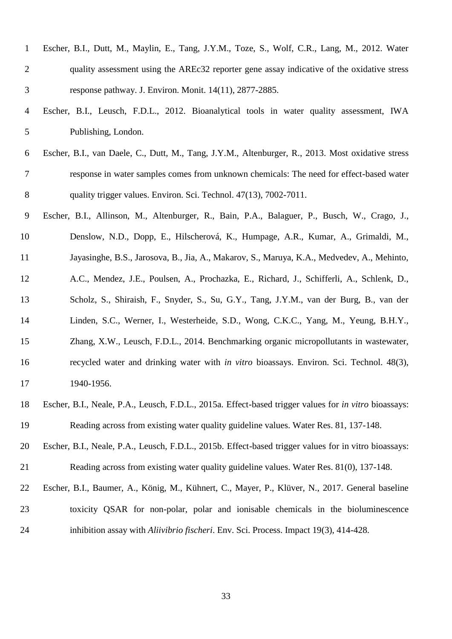| $\mathbf{1}$   | Escher, B.I., Dutt, M., Maylin, E., Tang, J.Y.M., Toze, S., Wolf, C.R., Lang, M., 2012. Water         |
|----------------|-------------------------------------------------------------------------------------------------------|
| $\overline{2}$ | quality assessment using the AREc32 reporter gene assay indicative of the oxidative stress            |
| 3              | response pathway. J. Environ. Monit. 14(11), 2877-2885.                                               |
| $\overline{4}$ | Escher, B.I., Leusch, F.D.L., 2012. Bioanalytical tools in water quality assessment, IWA              |
| 5              | Publishing, London.                                                                                   |
| 6              | Escher, B.I., van Daele, C., Dutt, M., Tang, J.Y.M., Altenburger, R., 2013. Most oxidative stress     |
| 7              | response in water samples comes from unknown chemicals: The need for effect-based water               |
| 8              | quality trigger values. Environ. Sci. Technol. 47(13), 7002-7011.                                     |
| 9              | Escher, B.I., Allinson, M., Altenburger, R., Bain, P.A., Balaguer, P., Busch, W., Crago, J.,          |
| 10             | Denslow, N.D., Dopp, E., Hilscherová, K., Humpage, A.R., Kumar, A., Grimaldi, M.,                     |
| 11             | Jayasinghe, B.S., Jarosova, B., Jia, A., Makarov, S., Maruya, K.A., Medvedev, A., Mehinto,            |
| 12             | A.C., Mendez, J.E., Poulsen, A., Prochazka, E., Richard, J., Schifferli, A., Schlenk, D.,             |
| 13             | Scholz, S., Shiraish, F., Snyder, S., Su, G.Y., Tang, J.Y.M., van der Burg, B., van der               |
| 14             | Linden, S.C., Werner, I., Westerheide, S.D., Wong, C.K.C., Yang, M., Yeung, B.H.Y.,                   |
| 15             | Zhang, X.W., Leusch, F.D.L., 2014. Benchmarking organic micropollutants in wastewater,                |
| 16             | recycled water and drinking water with in vitro bioassays. Environ. Sci. Technol. 48(3),              |
| 17             | 1940-1956.                                                                                            |
| 18             | Escher, B.I., Neale, P.A., Leusch, F.D.L., 2015a. Effect-based trigger values for in vitro bioassays: |
| 19             | Reading across from existing water quality guideline values. Water Res. 81, 137-148.                  |
| 20             | Escher, B.I., Neale, P.A., Leusch, F.D.L., 2015b. Effect-based trigger values for in vitro bioassays: |
| 21             | Reading across from existing water quality guideline values. Water Res. 81(0), 137-148.               |
| 22             | Escher, B.I., Baumer, A., König, M., Kühnert, C., Mayer, P., Klüver, N., 2017. General baseline       |
| 23             | toxicity QSAR for non-polar, polar and ionisable chemicals in the bioluminescence                     |
| 24             | inhibition assay with Aliivibrio fischeri. Env. Sci. Process. Impact 19(3), 414-428.                  |
|                |                                                                                                       |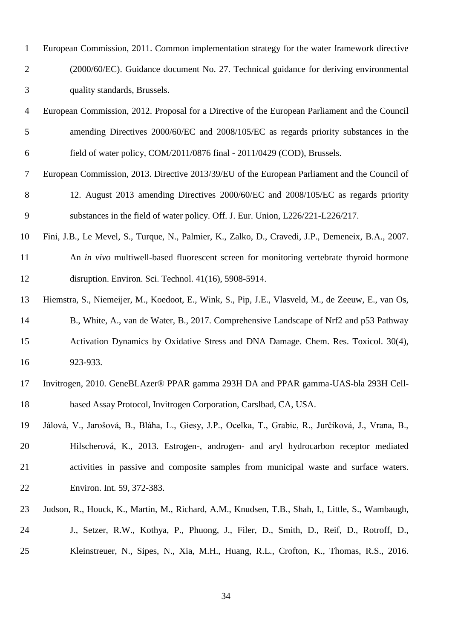| $\mathbf{1}$   | European Commission, 2011. Common implementation strategy for the water framework directive         |
|----------------|-----------------------------------------------------------------------------------------------------|
| $\overline{2}$ | (2000/60/EC). Guidance document No. 27. Technical guidance for deriving environmental               |
| 3              | quality standards, Brussels.                                                                        |
| $\overline{4}$ | European Commission, 2012. Proposal for a Directive of the European Parliament and the Council      |
| 5              | amending Directives 2000/60/EC and 2008/105/EC as regards priority substances in the                |
| 6              | field of water policy, COM/2011/0876 final - 2011/0429 (COD), Brussels.                             |
| $\overline{7}$ | European Commission, 2013. Directive 2013/39/EU of the European Parliament and the Council of       |
| 8              | 12. August 2013 amending Directives 2000/60/EC and 2008/105/EC as regards priority                  |
| 9              | substances in the field of water policy. Off. J. Eur. Union, L226/221-L226/217.                     |
| 10             | Fini, J.B., Le Mevel, S., Turque, N., Palmier, K., Zalko, D., Cravedi, J.P., Demeneix, B.A., 2007.  |
| 11             | An in vivo multiwell-based fluorescent screen for monitoring vertebrate thyroid hormone             |
| 12             | disruption. Environ. Sci. Technol. 41(16), 5908-5914.                                               |
| 13             | Hiemstra, S., Niemeijer, M., Koedoot, E., Wink, S., Pip, J.E., Vlasveld, M., de Zeeuw, E., van Os,  |
| 14             | B., White, A., van de Water, B., 2017. Comprehensive Landscape of Nrf2 and p53 Pathway              |
| 15             | Activation Dynamics by Oxidative Stress and DNA Damage. Chem. Res. Toxicol. 30(4),                  |
| 16             | 923-933.                                                                                            |
| 17             | Invitrogen, 2010. GeneBLAzer® PPAR gamma 293H DA and PPAR gamma-UAS-bla 293H Cell-                  |
| 18             | based Assay Protocol, Invitrogen Corporation, Carslbad, CA, USA.                                    |
| 19             | Jálová, V., Jarošová, B., Bláha, L., Giesy, J.P., Ocelka, T., Grabic, R., Jurčíková, J., Vrana, B., |
| 20             | Hilscherová, K., 2013. Estrogen-, androgen- and aryl hydrocarbon receptor mediated                  |
| 21             | activities in passive and composite samples from municipal waste and surface waters.                |
| 22             | Environ. Int. 59, 372-383.                                                                          |
| 23             | Judson, R., Houck, K., Martin, M., Richard, A.M., Knudsen, T.B., Shah, I., Little, S., Wambaugh,    |
| 24             | J., Setzer, R.W., Kothya, P., Phuong, J., Filer, D., Smith, D., Reif, D., Rotroff, D.,              |
| 25             | Kleinstreuer, N., Sipes, N., Xia, M.H., Huang, R.L., Crofton, K., Thomas, R.S., 2016.               |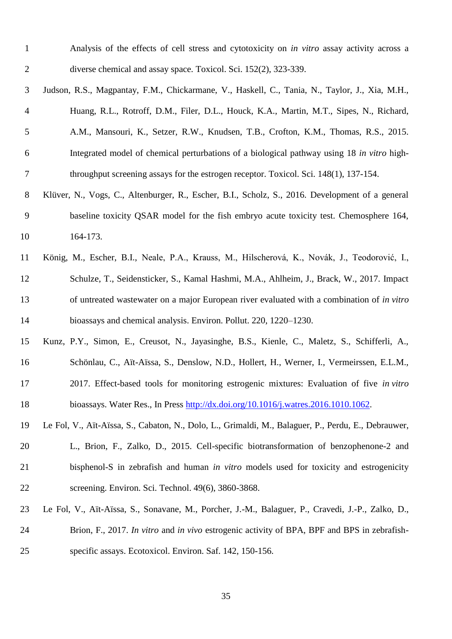| Analysis of the effects of cell stress and cytotoxicity on <i>in vitro</i> assay activity across a |
|----------------------------------------------------------------------------------------------------|
| diverse chemical and assay space. Toxicol. Sci. 152(2), 323-339.                                   |

- Judson, R.S., Magpantay, F.M., Chickarmane, V., Haskell, C., Tania, N., Taylor, J., Xia, M.H., Huang, R.L., Rotroff, D.M., Filer, D.L., Houck, K.A., Martin, M.T., Sipes, N., Richard, A.M., Mansouri, K., Setzer, R.W., Knudsen, T.B., Crofton, K.M., Thomas, R.S., 2015. Integrated model of chemical perturbations of a biological pathway using 18 *in vitro* high-throughput screening assays for the estrogen receptor. Toxicol. Sci. 148(1), 137-154.
- Klüver, N., Vogs, C., Altenburger, R., Escher, B.I., Scholz, S., 2016. Development of a general baseline toxicity QSAR model for the fish embryo acute toxicity test. Chemosphere 164, 164-173.
- König, M., Escher, B.I., Neale, P.A., Krauss, M., Hilscherová, K., Novák, J., Teodorović, I., Schulze, T., Seidensticker, S., Kamal Hashmi, M.A., Ahlheim, J., Brack, W., 2017. Impact of untreated wastewater on a major European river evaluated with a combination of *in vitro* bioassays and chemical analysis. Environ. Pollut. 220, 1220–1230.
- Kunz, P.Y., Simon, E., Creusot, N., Jayasinghe, B.S., Kienle, C., Maletz, S., Schifferli, A., Schönlau, C., Aït-Aïssa, S., Denslow, N.D., Hollert, H., Werner, I., Vermeirssen, E.L.M., 2017. Effect-based tools for monitoring estrogenic mixtures: Evaluation of five *in vitro*
- bioassays. Water Res., In Press [http://dx.doi.org/10.1016/j.watres.2016.1010.1062.](http://dx.doi.org/10.1016/j.watres.2016.1010.1062)
- Le Fol, V., Aït-Aïssa, S., Cabaton, N., Dolo, L., Grimaldi, M., Balaguer, P., Perdu, E., Debrauwer, L., Brion, F., Zalko, D., 2015. Cell-specific biotransformation of benzophenone-2 and bisphenol-S in zebrafish and human *in vitro* models used for toxicity and estrogenicity screening. Environ. Sci. Technol. 49(6), 3860-3868.
- Le Fol, V., Aït-Aïssa, S., Sonavane, M., Porcher, J.-M., Balaguer, P., Cravedi, J.-P., Zalko, D., Brion, F., 2017. *In vitro* and *in vivo* estrogenic activity of BPA, BPF and BPS in zebrafish-specific assays. Ecotoxicol. Environ. Saf. 142, 150-156.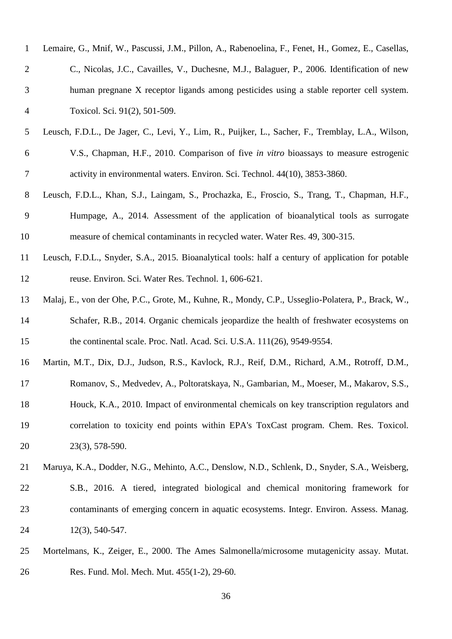| $\mathbf{1}$   | Lemaire, G., Mnif, W., Pascussi, J.M., Pillon, A., Rabenoelina, F., Fenet, H., Gomez, E., Casellas, |
|----------------|-----------------------------------------------------------------------------------------------------|
| $\overline{2}$ | C., Nicolas, J.C., Cavailles, V., Duchesne, M.J., Balaguer, P., 2006. Identification of new         |
| 3              | human pregnane X receptor ligands among pesticides using a stable reporter cell system.             |
| $\overline{4}$ | Toxicol. Sci. 91(2), 501-509.                                                                       |
| 5              | Leusch, F.D.L., De Jager, C., Levi, Y., Lim, R., Puijker, L., Sacher, F., Tremblay, L.A., Wilson,   |
| 6              | V.S., Chapman, H.F., 2010. Comparison of five in vitro bioassays to measure estrogenic              |
| 7              | activity in environmental waters. Environ. Sci. Technol. 44(10), 3853-3860.                         |
| 8              | Leusch, F.D.L., Khan, S.J., Laingam, S., Prochazka, E., Froscio, S., Trang, T., Chapman, H.F.,      |
| 9              | Humpage, A., 2014. Assessment of the application of bioanalytical tools as surrogate                |
| 10             | measure of chemical contaminants in recycled water. Water Res. 49, 300-315.                         |
| 11             | Leusch, F.D.L., Snyder, S.A., 2015. Bioanalytical tools: half a century of application for potable  |
| 12             | reuse. Environ. Sci. Water Res. Technol. 1, 606-621.                                                |
| 13             | Malaj, E., von der Ohe, P.C., Grote, M., Kuhne, R., Mondy, C.P., Usseglio-Polatera, P., Brack, W.,  |
| 14             | Schafer, R.B., 2014. Organic chemicals jeopardize the health of freshwater ecosystems on            |
| 15             | the continental scale. Proc. Natl. Acad. Sci. U.S.A. 111(26), 9549-9554.                            |
| 16             | Martin, M.T., Dix, D.J., Judson, R.S., Kavlock, R.J., Reif, D.M., Richard, A.M., Rotroff, D.M.,     |
| 17             | Romanov, S., Medvedev, A., Poltoratskaya, N., Gambarian, M., Moeser, M., Makarov, S.S.,             |
| 18             | Houck, K.A., 2010. Impact of environmental chemicals on key transcription regulators and            |
| 19             | correlation to toxicity end points within EPA's ToxCast program. Chem. Res. Toxicol.                |
| 20             | 23(3), 578-590.                                                                                     |
| 21             | Maruya, K.A., Dodder, N.G., Mehinto, A.C., Denslow, N.D., Schlenk, D., Snyder, S.A., Weisberg,      |
| 22             | S.B., 2016. A tiered, integrated biological and chemical monitoring framework for                   |
| 23             | contaminants of emerging concern in aquatic ecosystems. Integr. Environ. Assess. Manag.             |
| 24             | $12(3)$ , 540-547.                                                                                  |
| 25             | Mortelmans, K., Zeiger, E., 2000. The Ames Salmonella/microsome mutagenicity assay. Mutat.          |

Res. Fund. Mol. Mech. Mut. 455(1-2), 29-60.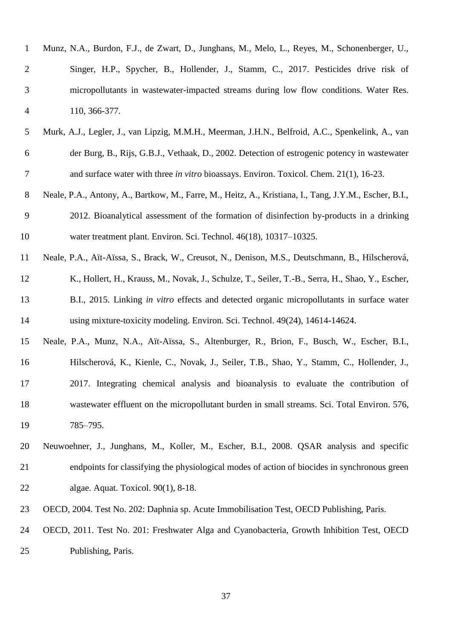| $\mathbf{1}$   | Munz, N.A., Burdon, F.J., de Zwart, D., Junghans, M., Melo, L., Reyes, M., Schonenberger, U.,          |
|----------------|--------------------------------------------------------------------------------------------------------|
| $\overline{2}$ | Singer, H.P., Spycher, B., Hollender, J., Stamm, C., 2017. Pesticides drive risk of                    |
| 3              | micropollutants in wastewater-impacted streams during low flow conditions. Water Res.                  |
| $\overline{4}$ | 110, 366-377.                                                                                          |
| 5              | Murk, A.J., Legler, J., van Lipzig, M.M.H., Meerman, J.H.N., Belfroid, A.C., Spenkelink, A., van       |
| 6              | der Burg, B., Rijs, G.B.J., Vethaak, D., 2002. Detection of estrogenic potency in wastewater           |
| 7              | and surface water with three in vitro bioassays. Environ. Toxicol. Chem. 21(1), 16-23.                 |
| 8              | Neale, P.A., Antony, A., Bartkow, M., Farre, M., Heitz, A., Kristiana, I., Tang, J.Y.M., Escher, B.I., |
| 9              | 2012. Bioanalytical assessment of the formation of disinfection by-products in a drinking              |
| 10             | water treatment plant. Environ. Sci. Technol. 46(18), 10317-10325.                                     |
| 11             | Neale, P.A., Aït-Aïssa, S., Brack, W., Creusot, N., Denison, M.S., Deutschmann, B., Hilscherová,       |
| 12             | K., Hollert, H., Krauss, M., Novak, J., Schulze, T., Seiler, T.-B., Serra, H., Shao, Y., Escher,       |
| 13             | B.I., 2015. Linking in vitro effects and detected organic micropollutants in surface water             |
| 14             | using mixture-toxicity modeling. Environ. Sci. Technol. 49(24), 14614-14624.                           |
| 15             | Neale, P.A., Munz, N.A., Aït-Aïssa, S., Altenburger, R., Brion, F., Busch, W., Escher, B.I.,           |
| 16             | Hilscherová, K., Kienle, C., Novak, J., Seiler, T.B., Shao, Y., Stamm, C., Hollender, J.,              |
| 17             | 2017. Integrating chemical analysis and bioanalysis to evaluate the contribution of                    |
| 18             | wastewater effluent on the micropollutant burden in small streams. Sci. Total Environ. 576,            |
| 19             | 785-795.                                                                                               |
| 20             | Neuwoehner, J., Junghans, M., Koller, M., Escher, B.I., 2008. QSAR analysis and specific               |
| 21             | endpoints for classifying the physiological modes of action of biocides in synchronous green           |
| 22             | algae. Aquat. Toxicol. 90(1), 8-18.                                                                    |
| 23             | OECD, 2004. Test No. 202: Daphnia sp. Acute Immobilisation Test, OECD Publishing, Paris.               |
| 24             | OECD, 2011. Test No. 201: Freshwater Alga and Cyanobacteria, Growth Inhibition Test, OECD              |
| 25             | Publishing, Paris.                                                                                     |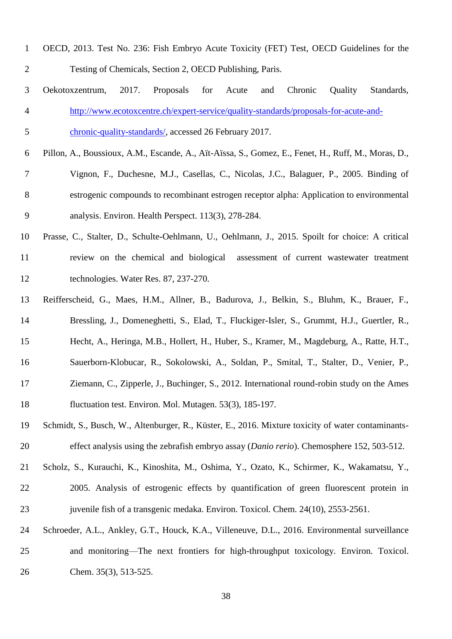| $\mathbf{1}$   | OECD, 2013. Test No. 236: Fish Embryo Acute Toxicity (FET) Test, OECD Guidelines for the            |
|----------------|-----------------------------------------------------------------------------------------------------|
| $\overline{c}$ | Testing of Chemicals, Section 2, OECD Publishing, Paris.                                            |
| 3              | 2017.<br>Standards,<br>Proposals<br>for<br>Chronic<br>Quality<br>Oekotoxzentrum,<br>Acute<br>and    |
| 4              | http://www.ecotoxcentre.ch/expert-service/quality-standards/proposals-for-acute-and-                |
| 5              | chronic-quality-standards/, accessed 26 February 2017.                                              |
| 6              | Pillon, A., Boussioux, A.M., Escande, A., Aït-Aïssa, S., Gomez, E., Fenet, H., Ruff, M., Moras, D., |
| 7              | Vignon, F., Duchesne, M.J., Casellas, C., Nicolas, J.C., Balaguer, P., 2005. Binding of             |
| 8              | estrogenic compounds to recombinant estrogen receptor alpha: Application to environmental           |
| 9              | analysis. Environ. Health Perspect. 113(3), 278-284.                                                |
| 10             | Prasse, C., Stalter, D., Schulte-Oehlmann, U., Oehlmann, J., 2015. Spoilt for choice: A critical    |
| 11             | review on the chemical and biological<br>assessment of current wastewater treatment                 |
| 12             | technologies. Water Res. 87, 237-270.                                                               |
| 13             | Reifferscheid, G., Maes, H.M., Allner, B., Badurova, J., Belkin, S., Bluhm, K., Brauer, F.,         |
| 14             | Bressling, J., Domeneghetti, S., Elad, T., Fluckiger-Isler, S., Grummt, H.J., Guertler, R.,         |
| 15             | Hecht, A., Heringa, M.B., Hollert, H., Huber, S., Kramer, M., Magdeburg, A., Ratte, H.T.,           |
| 16             | Sauerborn-Klobucar, R., Sokolowski, A., Soldan, P., Smital, T., Stalter, D., Venier, P.,            |
| 17             | Ziemann, C., Zipperle, J., Buchinger, S., 2012. International round-robin study on the Ames         |
| 18             | fluctuation test. Environ. Mol. Mutagen. 53(3), 185-197.                                            |
| 19             | Schmidt, S., Busch, W., Altenburger, R., Küster, E., 2016. Mixture toxicity of water contaminants-  |
| 20             | effect analysis using the zebrafish embryo assay (Danio rerio). Chemosphere 152, 503-512.           |
| 21             | Scholz, S., Kurauchi, K., Kinoshita, M., Oshima, Y., Ozato, K., Schirmer, K., Wakamatsu, Y.,        |
| 22             | 2005. Analysis of estrogenic effects by quantification of green fluorescent protein in              |
| 23             | juvenile fish of a transgenic medaka. Environ. Toxicol. Chem. 24(10), 2553-2561.                    |
| 24             | Schroeder, A.L., Ankley, G.T., Houck, K.A., Villeneuve, D.L., 2016. Environmental surveillance      |
| 25             | and monitoring—The next frontiers for high-throughput toxicology. Environ. Toxicol.                 |
| 26             | Chem. 35(3), 513-525.                                                                               |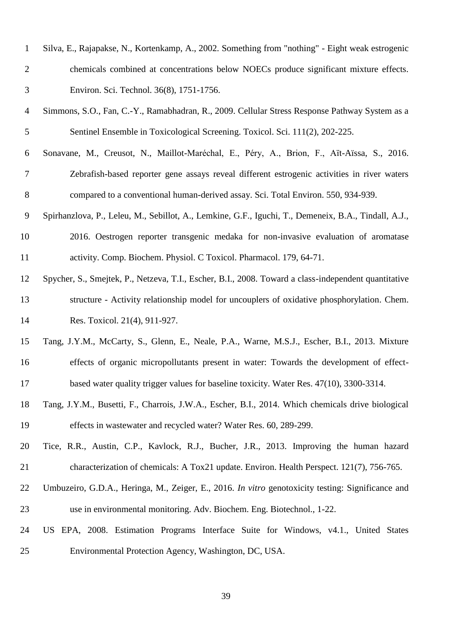| $\mathbf{1}$   | Silva, E., Rajapakse, N., Kortenkamp, A., 2002. Something from "nothing" - Eight weak estrogenic     |
|----------------|------------------------------------------------------------------------------------------------------|
| $\overline{2}$ | chemicals combined at concentrations below NOECs produce significant mixture effects.                |
| 3              | Environ. Sci. Technol. 36(8), 1751-1756.                                                             |
| $\overline{4}$ | Simmons, S.O., Fan, C.-Y., Ramabhadran, R., 2009. Cellular Stress Response Pathway System as a       |
| 5              | Sentinel Ensemble in Toxicological Screening. Toxicol. Sci. 111(2), 202-225.                         |
| 6              | Sonavane, M., Creusot, N., Maillot-Maréchal, E., Péry, A., Brion, F., Aït-Aïssa, S., 2016.           |
| 7              | Zebrafish-based reporter gene assays reveal different estrogenic activities in river waters          |
| $8\,$          | compared to a conventional human-derived assay. Sci. Total Environ. 550, 934-939.                    |
| $\mathbf{9}$   | Spirhanzlova, P., Leleu, M., Sebillot, A., Lemkine, G.F., Iguchi, T., Demeneix, B.A., Tindall, A.J., |
| 10             | 2016. Oestrogen reporter transgenic medaka for non-invasive evaluation of aromatase                  |
| 11             | activity. Comp. Biochem. Physiol. C Toxicol. Pharmacol. 179, 64-71.                                  |
| 12             | Spycher, S., Smejtek, P., Netzeva, T.I., Escher, B.I., 2008. Toward a class-independent quantitative |
| 13             | structure - Activity relationship model for uncouplers of oxidative phosphorylation. Chem.           |
| 14             | Res. Toxicol. 21(4), 911-927.                                                                        |
| 15             | Tang, J.Y.M., McCarty, S., Glenn, E., Neale, P.A., Warne, M.S.J., Escher, B.I., 2013. Mixture        |
| 16             | effects of organic micropollutants present in water: Towards the development of effect-              |
| 17             | based water quality trigger values for baseline toxicity. Water Res. 47(10), 3300-3314.              |
| 18             | Tang, J.Y.M., Busetti, F., Charrois, J.W.A., Escher, B.I., 2014. Which chemicals drive biological    |
| 19             | effects in wastewater and recycled water? Water Res. 60, 289-299.                                    |
| 20             | Tice, R.R., Austin, C.P., Kavlock, R.J., Bucher, J.R., 2013. Improving the human hazard              |
| 21             | characterization of chemicals: A Tox21 update. Environ. Health Perspect. $121(7)$ , 756-765.         |
| 22             | Umbuzeiro, G.D.A., Heringa, M., Zeiger, E., 2016. In vitro genotoxicity testing: Significance and    |
| 23             | use in environmental monitoring. Adv. Biochem. Eng. Biotechnol., 1-22.                               |
| 24             | US EPA, 2008. Estimation Programs Interface Suite for Windows, v4.1., United States                  |
| 25             | Environmental Protection Agency, Washington, DC, USA.                                                |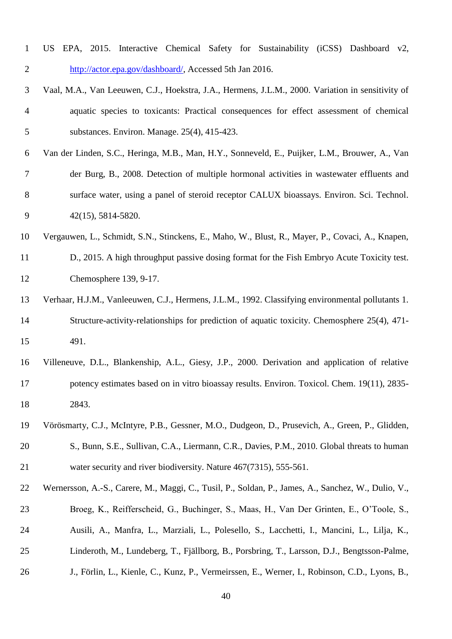- US EPA, 2015. Interactive Chemical Safety for Sustainability (iCSS) Dashboard v2, [http://actor.epa.gov/dashboard/,](http://actor.epa.gov/dashboard/) Accessed 5th Jan 2016.
- Vaal, M.A., Van Leeuwen, C.J., Hoekstra, J.A., Hermens, J.L.M., 2000. Variation in sensitivity of aquatic species to toxicants: Practical consequences for effect assessment of chemical substances. Environ. Manage. 25(4), 415-423.
- Van der Linden, S.C., Heringa, M.B., Man, H.Y., Sonneveld, E., Puijker, L.M., Brouwer, A., Van der Burg, B., 2008. Detection of multiple hormonal activities in wastewater effluents and surface water, using a panel of steroid receptor CALUX bioassays. Environ. Sci. Technol. 42(15), 5814-5820.
- Vergauwen, L., Schmidt, S.N., Stinckens, E., Maho, W., Blust, R., Mayer, P., Covaci, A., Knapen,
- D., 2015. A high throughput passive dosing format for the Fish Embryo Acute Toxicity test. Chemosphere 139, 9-17.
- Verhaar, H.J.M., Vanleeuwen, C.J., Hermens, J.L.M., 1992. Classifying environmental pollutants 1. Structure-activity-relationships for prediction of aquatic toxicity. Chemosphere 25(4), 471- 491.
- Villeneuve, D.L., Blankenship, A.L., Giesy, J.P., 2000. Derivation and application of relative potency estimates based on in vitro bioassay results. Environ. Toxicol. Chem. 19(11), 2835- 2843.
- Vörösmarty, C.J., McIntyre, P.B., Gessner, M.O., Dudgeon, D., Prusevich, A., Green, P., Glidden, S., Bunn, S.E., Sullivan, C.A., Liermann, C.R., Davies, P.M., 2010. Global threats to human water security and river biodiversity. Nature 467(7315), 555-561.
- Wernersson, A.-S., Carere, M., Maggi, C., Tusil, P., Soldan, P., James, A., Sanchez, W., Dulio, V., Broeg, K., Reifferscheid, G., Buchinger, S., Maas, H., Van Der Grinten, E., O'Toole, S.,
- Ausili, A., Manfra, L., Marziali, L., Polesello, S., Lacchetti, I., Mancini, L., Lilja, K.,
- Linderoth, M., Lundeberg, T., Fjällborg, B., Porsbring, T., Larsson, D.J., Bengtsson-Palme,
- J., Förlin, L., Kienle, C., Kunz, P., Vermeirssen, E., Werner, I., Robinson, C.D., Lyons, B.,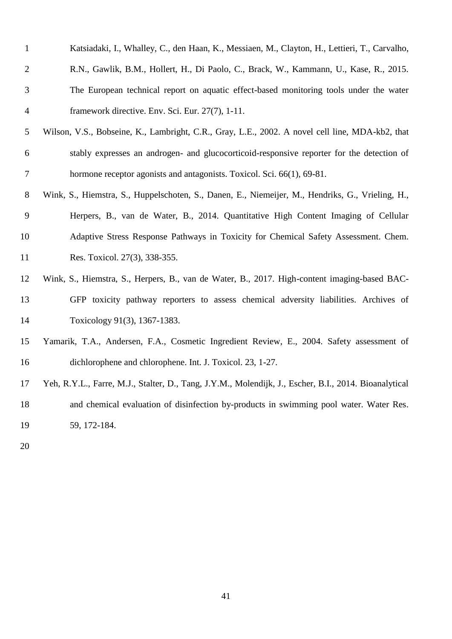| $\mathbf{1}$   | Katsiadaki, I., Whalley, C., den Haan, K., Messiaen, M., Clayton, H., Lettieri, T., Carvalho,         |
|----------------|-------------------------------------------------------------------------------------------------------|
| $\overline{2}$ | R.N., Gawlik, B.M., Hollert, H., Di Paolo, C., Brack, W., Kammann, U., Kase, R., 2015.                |
| 3              | The European technical report on aquatic effect-based monitoring tools under the water                |
| $\overline{4}$ | framework directive. Env. Sci. Eur. 27(7), 1-11.                                                      |
| 5              | Wilson, V.S., Bobseine, K., Lambright, C.R., Gray, L.E., 2002. A novel cell line, MDA-kb2, that       |
| 6              | stably expresses an androgen- and glucocorticoid-responsive reporter for the detection of             |
| 7              | hormone receptor agonists and antagonists. Toxicol. Sci. 66(1), 69-81.                                |
| 8              | Wink, S., Hiemstra, S., Huppelschoten, S., Danen, E., Niemeijer, M., Hendriks, G., Vrieling, H.,      |
| 9              | Herpers, B., van de Water, B., 2014. Quantitative High Content Imaging of Cellular                    |
| 10             | Adaptive Stress Response Pathways in Toxicity for Chemical Safety Assessment. Chem.                   |
| 11             | Res. Toxicol. 27(3), 338-355.                                                                         |
| 12             | Wink, S., Hiemstra, S., Herpers, B., van de Water, B., 2017. High-content imaging-based BAC-          |
| 13             | GFP toxicity pathway reporters to assess chemical adversity liabilities. Archives of                  |
| 14             | Toxicology 91(3), 1367-1383.                                                                          |
| 15             | Yamarik, T.A., Andersen, F.A., Cosmetic Ingredient Review, E., 2004. Safety assessment of             |
| 16             | dichlorophene and chlorophene. Int. J. Toxicol. 23, 1-27.                                             |
| 17             | Yeh, R.Y.L., Farre, M.J., Stalter, D., Tang, J.Y.M., Molendijk, J., Escher, B.I., 2014. Bioanalytical |
| 18             | and chemical evaluation of disinfection by-products in swimming pool water. Water Res.                |
| 19             | 59, 172-184.                                                                                          |
|                |                                                                                                       |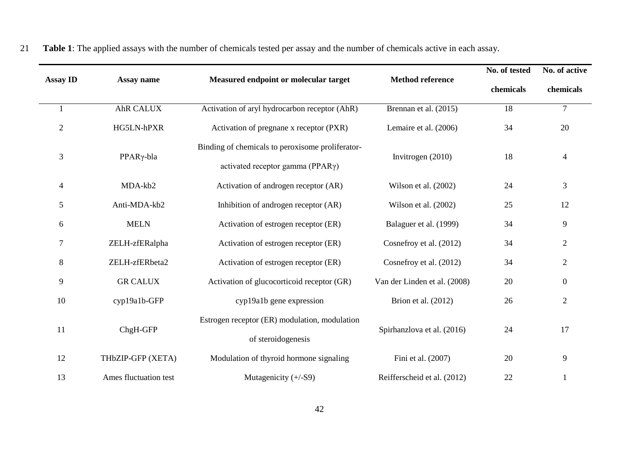|                 |                       |                                                                                               |                              | No. of tested | No. of active  |
|-----------------|-----------------------|-----------------------------------------------------------------------------------------------|------------------------------|---------------|----------------|
| <b>Assay ID</b> | Assay name            | Measured endpoint or molecular target                                                         | <b>Method reference</b>      | chemicals     | chemicals      |
|                 | AhR CALUX             | Activation of aryl hydrocarbon receptor (AhR)                                                 | Brennan et al. (2015)        | 18            | $\overline{7}$ |
| $\mathbf{2}$    | HG5LN-hPXR            | Activation of pregnane x receptor (PXR)                                                       | Lemaire et al. (2006)        | 34            | 20             |
| 3               | PPARγ-bla             | Binding of chemicals to peroxisome proliferator-<br>activated receptor gamma (PPAR $\gamma$ ) | Invitrogen (2010)            | 18            | $\overline{4}$ |
| $\overline{4}$  | MDA-kb2               | Activation of androgen receptor (AR)                                                          | Wilson et al. (2002)         | 24            | 3              |
| 5               | Anti-MDA-kb2          | Inhibition of androgen receptor (AR)                                                          | Wilson et al. (2002)         | 25            | 12             |
| 6               | <b>MELN</b>           | Activation of estrogen receptor (ER)                                                          | Balaguer et al. (1999)       | 34            | 9              |
| $\tau$          | ZELH-zfERalpha        | Activation of estrogen receptor (ER)                                                          | Cosnefroy et al. (2012)      | 34            | $\mathbf{2}$   |
| $8\,$           | ZELH-zfERbeta2        | Activation of estrogen receptor (ER)                                                          | Cosnefroy et al. (2012)      | 34            | $\overline{2}$ |
| 9               | <b>GR CALUX</b>       | Activation of glucocorticoid receptor (GR)                                                    | Van der Linden et al. (2008) | 20            | $\mathbf{0}$   |
| 10              | cyp19a1b-GFP          | cyp19a1b gene expression                                                                      | Brion et al. (2012)          | 26            | $\overline{2}$ |
| 11              | ChgH-GFP              | Estrogen receptor (ER) modulation, modulation<br>of steroidogenesis                           | Spirhanzlova et al. (2016)   | 24            | 17             |
| 12              | THbZIP-GFP (XETA)     | Modulation of thyroid hormone signaling                                                       | Fini et al. (2007)           | 20            | 9              |
| 13              | Ames fluctuation test | Mutagenicity (+/-S9)                                                                          | Reifferscheid et al. (2012)  | 22            |                |

21 **Table 1**: The applied assays with the number of chemicals tested per assay and the number of chemicals active in each assay.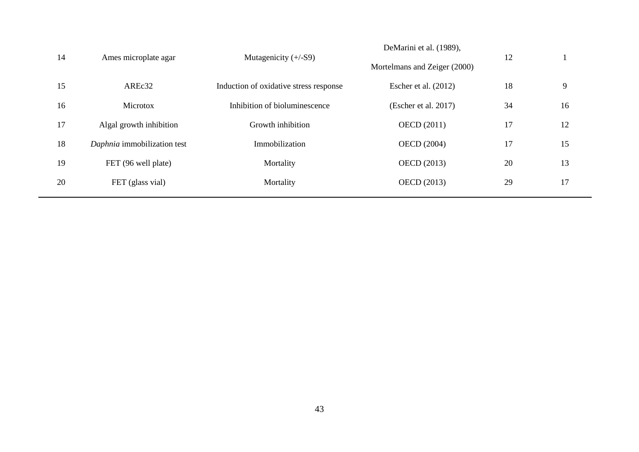| 14 | Ames microplate agar        | Mutagenicity $(+/-S9)$                 | DeMarini et al. (1989),<br>Mortelmans and Zeiger (2000) | 12 |    |
|----|-----------------------------|----------------------------------------|---------------------------------------------------------|----|----|
| 15 | AREc32                      | Induction of oxidative stress response | Escher et al. $(2012)$                                  | 18 | 9  |
| 16 | Microtox                    | Inhibition of bioluminescence          | (Escher et al. 2017)                                    | 34 | 16 |
| 17 | Algal growth inhibition     | Growth inhibition                      | <b>OECD</b> (2011)                                      | 17 | 12 |
| 18 | Daphnia immobilization test | Immobilization                         | <b>OECD</b> (2004)                                      | 17 | 15 |
| 19 | FET (96 well plate)         | Mortality                              | <b>OECD</b> (2013)                                      | 20 | 13 |
| 20 | FET (glass vial)            | Mortality                              | <b>OECD</b> (2013)                                      | 29 | 17 |
|    |                             |                                        |                                                         |    |    |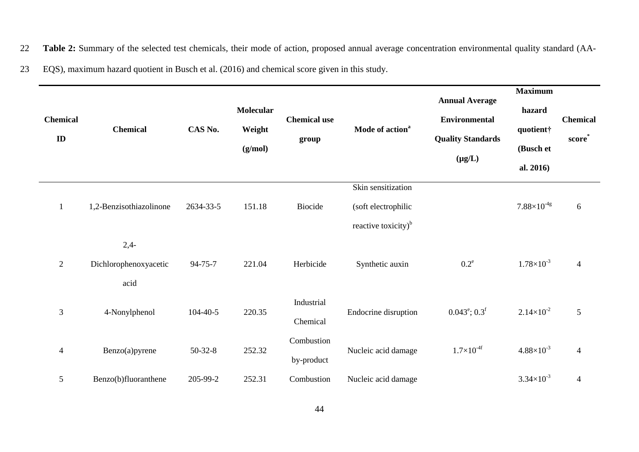22 **Table 2:** Summary of the selected test chemicals, their mode of action, proposed annual average concentration environmental quality standard (AA-

23 EQS), maximum hazard quotient in Busch et al. (2016) and chemical score given in this study.

| <b>Chemical</b><br>ID    | <b>Chemical</b>                         | CAS No.        | <b>Molecular</b><br>Weight<br>(g/mol) | <b>Chemical use</b><br>group | Mode of action <sup>a</sup>                                                  | <b>Annual Average</b><br><b>Environmental</b><br><b>Quality Standards</b><br>$(\mu g/L)$ | <b>Maximum</b><br>hazard<br>quotient†<br>(Busch et<br>al. 2016) | <b>Chemical</b><br>score <sup>*</sup> |
|--------------------------|-----------------------------------------|----------------|---------------------------------------|------------------------------|------------------------------------------------------------------------------|------------------------------------------------------------------------------------------|-----------------------------------------------------------------|---------------------------------------|
| $\mathbf{1}$             | 1,2-Benzisothiazolinone                 | 2634-33-5      | 151.18                                | <b>Biocide</b>               | Skin sensitization<br>(soft electrophilic<br>reactive toxicity) <sup>b</sup> |                                                                                          | $7.88\times10^{4g}$                                             | 6                                     |
| 2                        | $2,4-$<br>Dichlorophenoxyacetic<br>acid | 94-75-7        | 221.04                                | Herbicide                    | Synthetic auxin                                                              | $0.2^e$                                                                                  | $1.78 \times 10^{-3}$                                           | $\overline{4}$                        |
| 3                        | 4-Nonylphenol                           | $104 - 40 - 5$ | 220.35                                | Industrial<br>Chemical       | Endocrine disruption                                                         | $0.043^{\circ}$ ; $0.3^{\circ}$                                                          | $2.14 \times 10^{-2}$                                           | 5                                     |
| $\overline{\mathcal{L}}$ | Benzo(a)pyrene                          | $50 - 32 - 8$  | 252.32                                | Combustion<br>by-product     | Nucleic acid damage                                                          | $1.7\times10^{-4}$                                                                       | $4.88\times10^{-3}$                                             | $\overline{4}$                        |
| 5                        | Benzo(b)fluoranthene                    | 205-99-2       | 252.31                                | Combustion                   | Nucleic acid damage                                                          |                                                                                          | $3.34 \times 10^{-3}$                                           | $\overline{4}$                        |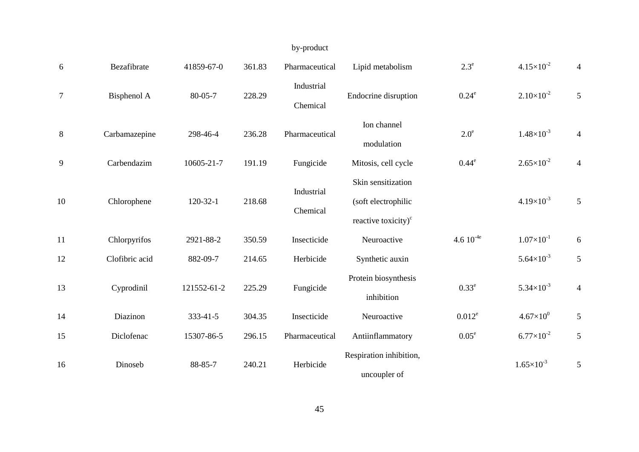# by-product

| 6              | Bezafibrate    | 41859-67-0  | 361.83 | Pharmaceutical         | Lipid metabolism                                                             | $2.3^e$        | $4.15 \times 10^{-2}$ | $\overline{4}$ |
|----------------|----------------|-------------|--------|------------------------|------------------------------------------------------------------------------|----------------|-----------------------|----------------|
| $\overline{7}$ | Bisphenol A    | 80-05-7     | 228.29 | Industrial<br>Chemical | Endocrine disruption                                                         | $0.24^e$       | $2.10\times10^{-2}$   | 5              |
| 8              | Carbamazepine  | 298-46-4    | 236.28 | Pharmaceutical         | Ion channel<br>modulation                                                    | $2.0^{\circ}$  | $1.48 \times 10^{-3}$ | $\overline{4}$ |
| 9              | Carbendazim    | 10605-21-7  | 191.19 | Fungicide              | Mitosis, cell cycle                                                          | $0.44^e$       | $2.65 \times 10^{-2}$ | $\overline{4}$ |
| 10             | Chlorophene    | $120-32-1$  | 218.68 | Industrial<br>Chemical | Skin sensitization<br>(soft electrophilic<br>reactive toxicity) <sup>c</sup> |                | $4.19\times10^{-3}$   | 5              |
| 11             | Chlorpyrifos   | 2921-88-2   | 350.59 | Insecticide            | Neuroactive                                                                  | 4.6 $10^{-4e}$ | $1.07\times10^{-1}$   | 6              |
| 12             | Clofibric acid | 882-09-7    | 214.65 | Herbicide              | Synthetic auxin                                                              |                | $5.64 \times 10^{-3}$ | 5              |
| 13             | Cyprodinil     | 121552-61-2 | 225.29 | Fungicide              | Protein biosynthesis<br>inhibition                                           | $0.33^e$       | $5.34 \times 10^{-3}$ | $\overline{4}$ |
| 14             | Diazinon       | 333-41-5    | 304.35 | Insecticide            | Neuroactive                                                                  | $0.012^e$      | $4.67\times10^{0}$    | 5              |
| 15             | Diclofenac     | 15307-86-5  | 296.15 | Pharmaceutical         | Antiinflammatory                                                             | $0.05^e$       | $6.77\times10^{-2}$   | 5              |
| 16             | Dinoseb        | 88-85-7     | 240.21 | Herbicide              | Respiration inhibition,<br>uncoupler of                                      |                | $1.65 \times 10^{-3}$ | 5              |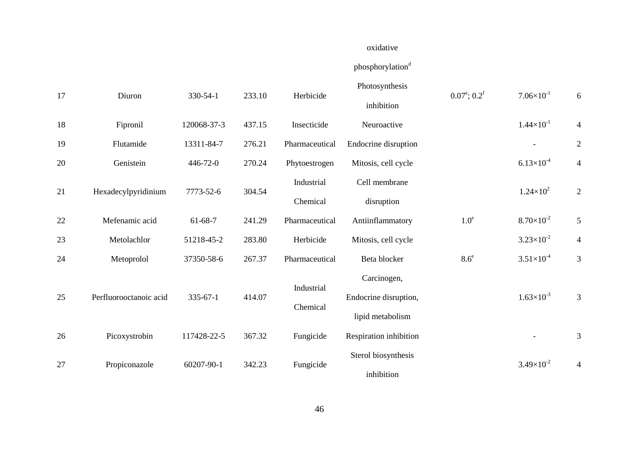# oxidative

# $phorylation^d$

| 17 | Diuron                 | 330-54-1       | 233.10 | Herbicide      | Photosynthesis<br>inhibition | $0.07^{\circ}; 0.2^{\circ}$ | $7.06\times10^{-1}$   | 6              |
|----|------------------------|----------------|--------|----------------|------------------------------|-----------------------------|-----------------------|----------------|
| 18 | Fipronil               | 120068-37-3    | 437.15 | Insecticide    | Neuroactive                  |                             | $1.44 \times 10^{-1}$ | 4              |
| 19 | Flutamide              | 13311-84-7     | 276.21 | Pharmaceutical | Endocrine disruption         |                             |                       | $\overline{2}$ |
| 20 | Genistein              | 446-72-0       | 270.24 | Phytoestrogen  | Mitosis, cell cycle          |                             | $6.13\times10^{-4}$   | $\overline{4}$ |
|    |                        |                |        | Industrial     | Cell membrane                |                             |                       |                |
| 21 | Hexadecylpyridinium    | 7773-52-6      | 304.54 | Chemical       | disruption                   |                             | $1.24 \times 10^{2}$  | $\overline{2}$ |
| 22 | Mefenamic acid         | $61-68-7$      | 241.29 | Pharmaceutical | Antiinflammatory             | 1.0 <sup>e</sup>            | $8.70\times10^{-2}$   | 5              |
| 23 | Metolachlor            | 51218-45-2     | 283.80 | Herbicide      | Mitosis, cell cycle          |                             | $3.23\times10^{-2}$   | $\overline{4}$ |
| 24 | Metoprolol             | 37350-58-6     | 267.37 | Pharmaceutical | Beta blocker                 | 8.6 <sup>e</sup>            | $3.51\times10^{-4}$   | 3              |
|    |                        |                |        |                | Carcinogen,                  |                             |                       |                |
| 25 | Perfluorooctanoic acid | $335 - 67 - 1$ | 414.07 | Industrial     | Endocrine disruption,        |                             | $1.63\times10^{-3}$   | 3              |
|    |                        |                |        | Chemical       | lipid metabolism             |                             |                       |                |
| 26 | Picoxystrobin          | 117428-22-5    | 367.32 | Fungicide      | Respiration inhibition       |                             |                       | $\mathfrak{Z}$ |
| 27 |                        | 60207-90-1     | 342.23 |                | Sterol biosynthesis          |                             | $3.49\times10^{-2}$   |                |
|    | Propiconazole          |                |        | Fungicide      | inhibition                   |                             |                       | 4              |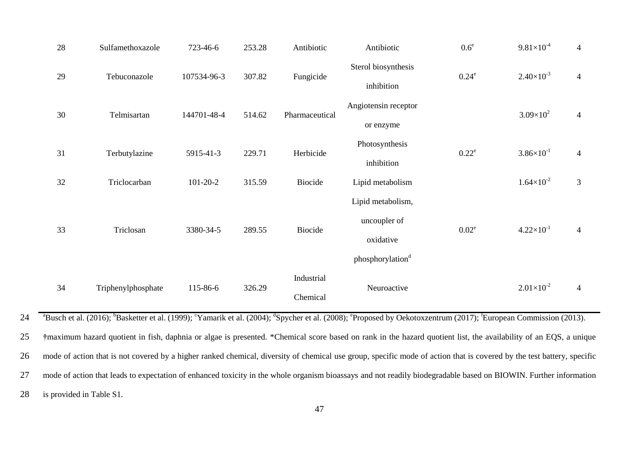| 28 | Sulfamethoxazole   | 723-46-6       | 253.28 | Antibiotic     | Antibiotic                   | $0.6^e$  | $9.81\times10^{-4}$   | $\overline{4}$ |
|----|--------------------|----------------|--------|----------------|------------------------------|----------|-----------------------|----------------|
| 29 | Tebuconazole       | 107534-96-3    | 307.82 | Fungicide      | Sterol biosynthesis          | $0.24^e$ | $2.40\times10^{-3}$   | $\overline{4}$ |
|    |                    |                |        |                | inhibition                   |          |                       |                |
| 30 |                    |                |        |                | Angiotensin receptor         |          | $3.09\times10^{2}$    |                |
|    | Telmisartan        | 144701-48-4    | 514.62 | Pharmaceutical | or enzyme                    |          |                       | $\overline{4}$ |
|    |                    |                |        |                | Photosynthesis               |          |                       |                |
| 31 | Terbutylazine      | 5915-41-3      | 229.71 | Herbicide      | inhibition                   | $0.22^e$ | $3.86 \times 10^{-1}$ | $\overline{4}$ |
| 32 | Triclocarban       | $101 - 20 - 2$ | 315.59 | Biocide        | Lipid metabolism             |          | $1.64\times10^{-2}$   | $\mathfrak{Z}$ |
|    |                    |                |        |                | Lipid metabolism,            |          |                       |                |
|    |                    |                |        |                | uncoupler of                 |          |                       |                |
| 33 | Triclosan          | 3380-34-5      | 289.55 | <b>Biocide</b> | oxidative                    | $0.02^e$ | $4.22 \times 10^{-1}$ | $\overline{4}$ |
|    |                    |                |        |                | phosphorylation <sup>d</sup> |          |                       |                |
|    |                    |                |        | Industrial     |                              |          |                       |                |
| 34 | Triphenylphosphate | 115-86-6       | 326.29 | Chemical       | Neuroactive                  |          | $2.01\times10^{-2}$   | $\overline{4}$ |

<sup>a</sup>Busch et al. (2016); <sup>b</sup>Basketter et al. (1999); <sup>c</sup>Yamarik et al. (2004); <sup>d</sup>Spycher et al. (2008); <sup>e</sup>Proposed by Oekotoxzentrum (2017); <sup>f</sup>European Commission (2013).

25 **†**maximum hazard quotient in fish, daphnia or algae is presented. \*Chemical score based on rank in the hazard quotient list, the availability of an EQS, a unique 26 mode of action that is not covered by a higher ranked chemical, diversity of chemical use group, specific mode of action that is covered by the test battery, specific 27 mode of action that leads to expectation of enhanced toxicity in the whole organism bioassays and not readily biodegradable based on BIOWIN. Further information 28 is provided in Table S1.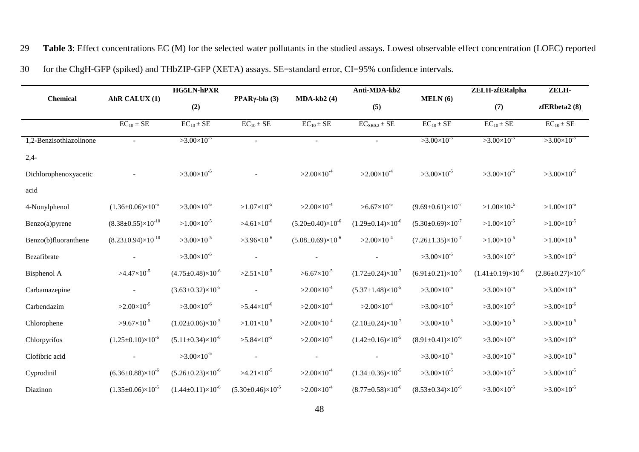29 **Table 3**: Effect concentrations EC (M) for the selected water pollutants in the studied assays. Lowest observable effect concentration (LOEC) reported

|  |  | 30 for the ChgH-GFP (spiked) and THbZIP-GFP (XETA) assays. SE=standard error, CI=95% confidence intervals. |
|--|--|------------------------------------------------------------------------------------------------------------|
|  |  |                                                                                                            |

|                         |                                        | <b>HG5LN-hPXR</b>                |                                  |                                  | Anti-MDA-kb2                     |                                  | ZELH-zfERalpha               | ZELH-                            |
|-------------------------|----------------------------------------|----------------------------------|----------------------------------|----------------------------------|----------------------------------|----------------------------------|------------------------------|----------------------------------|
| <b>Chemical</b>         | AhR CALUX (1)                          | (2)                              | PPAR $\gamma$ -bla (3)           | $MDA-kb2(4)$                     | (5)                              | MELN(6)                          | (7)                          | zfERbeta2(8)                     |
|                         | $\overline{EC}_{10} \pm \overline{SE}$ | $EC_{10} \pm SE$                 | $EC_{10} \pm SE$                 | $EC_{10} \pm SE$                 | $\overline{EC_{SRO.2} \pm SE}$   | $\overline{EC_{10} \pm SE}$      | $EC_{10} \pm SE$             | $\overline{EC_{10} \pm SE}$      |
| 1,2-Benzisothiazolinone |                                        | $>3.00\times10^{-5}$             |                                  |                                  |                                  | $>3.00\times10^{-5}$             | $>3.00\times10^{-5}$         | $>3.00\times10^{-5}$             |
| $2,4-$                  |                                        |                                  |                                  |                                  |                                  |                                  |                              |                                  |
| Dichlorophenoxyacetic   |                                        | $>3.00\times10^{-5}$             |                                  | $>2.00\times10^{-4}$             | $>2.00\times10^{-4}$             | $>3.00\times10^{-5}$             | $>3.00\times10^{-5}$         | $>3.00\times10^{-5}$             |
| acid                    |                                        |                                  |                                  |                                  |                                  |                                  |                              |                                  |
| 4-Nonylphenol           | $(1.36\pm0.06)\times10^{-5}$           | $>3.00\times10^{-5}$             | $>1.07\times10^{-5}$             | $>2.00\times10^{-4}$             | $>6.67\times10^{-5}$             | $(9.69 \pm 0.61) \times 10^{-7}$ | $>1.00\times10^{-5}$         | $>1.00\times10^{-5}$             |
| Benzo(a)pyrene          | $(8.38\pm0.55)\times10^{-10}$          | $>1.00\times10^{-5}$             | $>4.61\times10^{-6}$             | $(5.20 \pm 0.40) \times 10^{-6}$ | $(1.29 \pm 0.14) \times 10^{-6}$ | $(5.30\pm0.69)\times10^{-7}$     | $>1.00\times10^{-5}$         | $>1.00\times10^{-5}$             |
| Benzo(b)fluoranthene    | $(8.23 \pm 0.94) \times 10^{-10}$      | $>3.00\times10^{-5}$             | $>3.96\times10^{-6}$             | $(5.08 \pm 0.69) \times 10^{-6}$ | $>2.00\times10^{-4}$             | $(7.26 \pm 1.35) \times 10^{-7}$ | $>1.00\times10^{-5}$         | $>1.00\times10^{-5}$             |
| Bezafibrate             |                                        | $>3.00\times10^{-5}$             |                                  |                                  |                                  | $>3.00\times10^{-5}$             | $>3.00\times10^{-5}$         | $>3.00\times10^{-5}$             |
| Bisphenol A             | $>4.47\times10^{-5}$                   | $(4.75 \pm 0.48) \times 10^{-6}$ | $>2.51\times10^{-5}$             | $>6.67\times10^{-5}$             | $(1.72 \pm 0.24) \times 10^{-7}$ | $(6.91 \pm 0.21) \times 10^{-8}$ | $(1.41\pm0.19)\times10^{-6}$ | $(2.86 \pm 0.27) \times 10^{-6}$ |
| Carbamazepine           |                                        | $(3.63\pm0.32)\times10^{-5}$     |                                  | $>2.00\times10^{-4}$             | $(5.37 \pm 1.48) \times 10^{-5}$ | $>3.00\times10^{-5}$             | $>3.00\times10^{-5}$         | $>3.00\times10^{-5}$             |
| Carbendazim             | $>2.00\times10^{-5}$                   | $>3.00\times10^{-6}$             | $>5.44\times10^{-6}$             | $>2.00\times10^{-4}$             | $>2.00\times10^{-4}$             | $>3.00\times10^{-6}$             | $>3.00\times10^{-6}$         | $>3.00\times10^{-6}$             |
| Chlorophene             | $>9.67\times10^{-5}$                   | $(1.02\pm0.06)\times10^{-5}$     | $>1.01\times10^{-5}$             | $>2.00\times10^{-4}$             | $(2.10\pm0.24)\times10^{-7}$     | $>3.00\times10^{-5}$             | $>3.00\times10^{-5}$         | $>3.00\times10^{-5}$             |
| Chlorpyrifos            | $(1.25 \pm 0.10) \times 10^{-6}$       | $(5.11\pm0.34)\times10^{-6}$     | $>5.84\times10^{-5}$             | $>2.00\times10^{-4}$             | $(1.42 \pm 0.16) \times 10^{-5}$ | $(8.91 \pm 0.41) \times 10^{-6}$ | $>3.00\times10^{-5}$         | $>3.00\times10^{-5}$             |
| Clofibric acid          |                                        | $>3.00\times10^{-5}$             |                                  |                                  |                                  | $>3.00\times10^{-5}$             | $>3.00\times10^{-5}$         | $>3.00\times10^{-5}$             |
| Cyprodinil              | $(6.36\pm0.88)\times10^{-6}$           | $(5.26 \pm 0.23) \times 10^{-6}$ | $>4.21\times10^{-5}$             | $>2.00\times10^{-4}$             | $(1.34\pm0.36)\times10^{-5}$     | $>3.00\times10^{-5}$             | $>3.00\times10^{-5}$         | $>3.00\times10^{-5}$             |
| Diazinon                | $(1.35 \pm 0.06) \times 10^{-5}$       | $(1.44\pm0.11)\times10^{-6}$     | $(5.30 \pm 0.46) \times 10^{-5}$ | $>2.00\times10^{-4}$             | $(8.77 \pm 0.58) \times 10^{-6}$ | $(8.53\pm0.34)\times10^{-6}$     | $>3.00\times10^{-5}$         | $>3.00\times10^{-5}$             |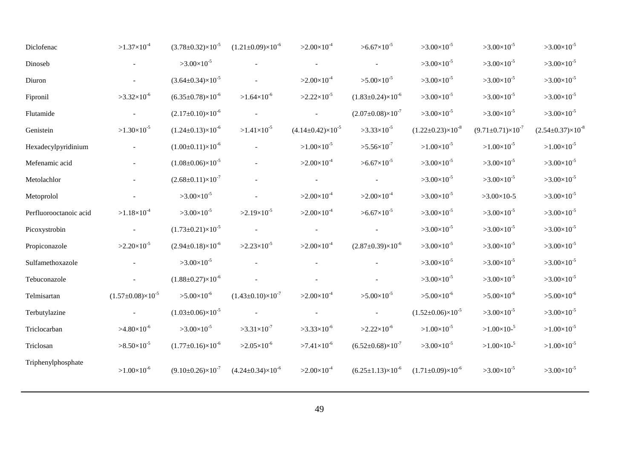| Diclofenac             | $>1.37\times10^{-4}$             | $(3.78 \pm 0.32) \times 10^{-5}$ | $(1.21\pm0.09)\times10^{-6}$ | $>2.00\times10^{-4}$         | $>6.67\times10^{-5}$             | $>3.00\times10^{-5}$             | $>3.00\times10^{-5}$             | $>3.00\times10^{-5}$             |
|------------------------|----------------------------------|----------------------------------|------------------------------|------------------------------|----------------------------------|----------------------------------|----------------------------------|----------------------------------|
| Dinoseb                |                                  | $>3.00\times10^{-5}$             |                              |                              |                                  | $>3.00\times10^{-5}$             | $>3.00\times10^{-5}$             | $>3.00\times10^{-5}$             |
| Diuron                 |                                  | $(3.64\pm0.34)\times10^{-5}$     |                              | $>2.00\times10^{-4}$         | $>5.00\times10^{-5}$             | $>3.00\times10^{-5}$             | $>3.00\times10^{-5}$             | $>3.00\times10^{-5}$             |
| Fipronil               | $>3.32\times10^{-6}$             | $(6.35 \pm 0.78) \times 10^{-6}$ | $>1.64\times10^{-6}$         | $>2.22\times10^{-5}$         | $(1.83 \pm 0.24) \times 10^{-6}$ | $>3.00\times10^{-5}$             | $>3.00\times10^{-5}$             | $>3.00\times10^{-5}$             |
| Flutamide              |                                  | $(2.17\pm0.10)\times10^{-6}$     |                              |                              | $(2.07 \pm 0.08) \times 10^{-7}$ | $>3.00\times10^{-5}$             | $>3.00\times10^{-5}$             | $>3.00\times10^{-5}$             |
| Genistein              | $>1.30\times10^{-5}$             | $(1.24 \pm 0.13) \times 10^{-6}$ | $>1.41\times10^{-5}$         | $(4.14\pm0.42)\times10^{-5}$ | $>3.33\times10^{-5}$             | $(1.22 \pm 0.23) \times 10^{-8}$ | $(9.71 \pm 0.71) \times 10^{-7}$ | $(2.54 \pm 0.37) \times 10^{-8}$ |
| Hexadecylpyridinium    |                                  | $(1.00\pm0.11)\times10^{-6}$     |                              | $>1.00\times10^{-5}$         | $>5.56\times10^{-7}$             | $>1.00\times10^{-5}$             | $>1.00\times10^{-5}$             | $>1.00\times10^{-5}$             |
| Mefenamic acid         |                                  | $(1.08 \pm 0.06) \times 10^{-5}$ |                              | $>2.00\times10^{-4}$         | $> 6.67 \times 10^{-5}$          | $>3.00\times10^{-5}$             | $>3.00\times10^{-5}$             | $>3.00\times10^{-5}$             |
| Metolachlor            |                                  | $(2.68 \pm 0.11) \times 10^{-7}$ |                              |                              |                                  | $>3.00\times10^{-5}$             | $>3.00\times10^{-5}$             | $>3.00\times10^{-5}$             |
| Metoprolol             |                                  | $>3.00\times10^{-5}$             |                              | $>2.00\times10^{-4}$         | $>2.00\times10^{-4}$             | $>3.00\times10^{-5}$             | $>3.00\times10-5$                | $>3.00\times10^{-5}$             |
| Perfluorooctanoic acid | $>1.18\times10^{-4}$             | $>3.00\times10^{-5}$             | $>2.19\times10^{-5}$         | $>2.00\times10^{-4}$         | $>6.67\times10^{-5}$             | $>3.00\times10^{-5}$             | $>3.00\times10^{-5}$             | $>3.00\times10^{-5}$             |
| Picoxystrobin          |                                  | $(1.73 \pm 0.21) \times 10^{-5}$ |                              |                              |                                  | $>3.00\times10^{-5}$             | $>3.00\times10^{-5}$             | $>3.00\times10^{-5}$             |
| Propiconazole          | $>2.20\times10^{-5}$             | $(2.94\pm0.18)\times10^{-6}$     | $>2.23\times10^{-5}$         | $>2.00\times10^{-4}$         | $(2.87 \pm 0.39) \times 10^{-6}$ | $>3.00\times10^{-5}$             | $>3.00\times10^{-5}$             | $>3.00\times10^{-5}$             |
| Sulfamethoxazole       |                                  | $>3.00\times10^{-5}$             |                              |                              |                                  | $>3.00\times10^{-5}$             | $>3.00\times10^{-5}$             | $>3.00\times10^{-5}$             |
| Tebuconazole           |                                  | $(1.88 \pm 0.27) \times 10^{-6}$ |                              |                              |                                  | $>3.00\times10^{-5}$             | $>3.00\times10^{-5}$             | $>3.00\times10^{-5}$             |
| Telmisartan            | $(1.57 \pm 0.08) \times 10^{-5}$ | $>5.00\times10^{-6}$             | $(1.43\pm0.10)\times10^{-7}$ | $>2.00\times10^{-4}$         | $>5.00\times10^{-5}$             | $>5.00\times10^{-6}$             | $>5.00\times10^{-6}$             | $>5.00\times10^{-6}$             |
| Terbutylazine          |                                  | $(1.03 \pm 0.06) \times 10^{-5}$ |                              |                              |                                  | $(1.52 \pm 0.06) \times 10^{-5}$ | $>3.00\times10^{-5}$             | $>3.00\times10^{-5}$             |
| Triclocarban           | $>4.80\times10^{-6}$             | $>3.00\times10^{-5}$             | $>3.31\times10^{-7}$         | $>3.33\times10^{-6}$         | $>2.22\times10^{-6}$             | $>1.00\times10^{-5}$             | $>1.00\times10^{-5}$             | $>1.00\times10^{-5}$             |
| Triclosan              | $>8.50\times10^{-5}$             | $(1.77 \pm 0.16) \times 10^{-6}$ | $>2.05\times10^{-6}$         | $>7.41\times10^{-6}$         | $(6.52 \pm 0.68) \times 10^{-7}$ | $>3.00\times10^{-5}$             | $>1.00\times10^{-5}$             | $>1.00\times10^{-5}$             |
| Triphenylphosphate     | $>1.00\times10^{-6}$             | $(9.10 \pm 0.26) \times 10^{-7}$ | $(4.24\pm0.34)\times10^{-6}$ | $>2.00\times10^{-4}$         | $(6.25 \pm 1.13) \times 10^{-6}$ | $(1.71\pm0.09)\times10^{-6}$     | $>3.00\times10^{-5}$             | $>3.00\times10^{-5}$             |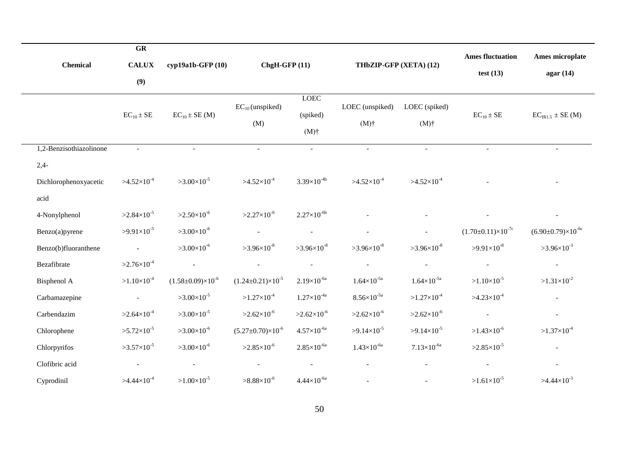|                         | GR                   |                                  |                                  |                                    |                            |                          |                                   |                               |
|-------------------------|----------------------|----------------------------------|----------------------------------|------------------------------------|----------------------------|--------------------------|-----------------------------------|-------------------------------|
| <b>Chemical</b>         | <b>CALUX</b>         | cyp19a1b-GFP (10)                | $ChgH-GFP(11)$                   |                                    | THbZIP-GFP (XETA) (12)     |                          | <b>Ames fluctuation</b>           | Ames microplate               |
|                         | (9)                  |                                  |                                  |                                    |                            | test $(13)$              | agar(14)                          |                               |
|                         | $EC_{10} \pm SE$     | $EC_{10} \pm SE(M)$              | $EC_{10}$ (unspiked)<br>(M)      | <b>LOEC</b><br>(spiked)<br>$(M)$ † | LOEC (unspiked)<br>$(M)$ † | LOEC (spiked)<br>$(M)$ † | $EC_{10} \pm SE$                  | $EC_{IR1.5} \pm SE(M)$        |
| 1,2-Benzisothiazolinone | $\omega$             | $\sim$                           | $\sim$                           | $\sim$                             | $\omega$                   | $\sim$                   |                                   |                               |
| $2,4-$                  |                      |                                  |                                  |                                    |                            |                          |                                   |                               |
| Dichlorophenoxyacetic   | $>4.52\times10^{4}$  | $>3.00\times10^{-5}$             | $>4.52\times10^{-4}$             | $3.39\times10^{-4b}$               | $>4.52\times10^{-4}$       | $>4.52\times10^{-4}$     |                                   |                               |
| acid                    |                      |                                  |                                  |                                    |                            |                          |                                   |                               |
| 4-Nonylphenol           | $>2.84\times10^{-5}$ | $>2.50\times10^{-6}$             | $>2.27\times10^{-6}$             | $2.27\times10^{-6b}$               |                            |                          |                                   |                               |
| Benzo(a)pyrene          | $>9.91\times10^{-5}$ | $>3.00\times10^{-6}$             | $\sim$                           | $\sim$                             |                            |                          | $(1.70 \pm 0.11) \times 10^{-7c}$ | $(6.90\pm0.79)\times10^{-6c}$ |
| Benzo(b)fluoranthene    | $\mathbb{L}$         | $>3.00\times10^{-6}$             | $>3.96\times10^{-8}$             | $>3.96\times10^{-8}$               | $>3.96\times10^{-8}$       | $>3.96\times10^{-8}$     | $>9.91\times10^{-8}$              | $>3.96\times10^{-3}$          |
| Bezafibrate             | $>2.76\times10^{-4}$ | $\sim$                           | $\sim$                           | $\sim$                             | $\blacksquare$             | $\sim$                   | $\sim$                            | $\omega$                      |
| Bisphenol A             | $>1.10\times10^{-4}$ | $(1.58 \pm 0.09) \times 10^{-6}$ | $(1.24 \pm 0.21) \times 10^{-5}$ | $2.19\times10^{-6a}$               | $1.64 \times 10^{-5a}$     | $1.64 \times 10^{-5a}$   | $>1.10\times10^{-5}$              | $>1.31\times10^{-2}$          |
| Carbamazepine           | $\omega_{\rm{max}}$  | $>3.00\times10^{-5}$             | $>1.27\times10^{-4}$             | $1.27\times10^{-4a}$               | $8.56\times10^{-5a}$       | $>1.27\times10^{-4}$     | $>4.23\times10^{-4}$              | $\blacksquare$                |
| Carbendazim             | $>2.64\times10^{-4}$ | $>3.00\times10^{-5}$             | $>2.62\times10^{-6}$             | $>2.62\times10^{-6}$               | $>2.62\times10^{-6}$       | $>2.62\times10^{-6}$     | $\sim$                            | $\blacksquare$                |
| Chlorophene             | $>5.72\times10^{-5}$ | $>3.00\times10^{-6}$             | $(5.27 \pm 0.70) \times 10^{-6}$ | $4.57\times10^{-6a}$               | $>9.14\times10^{-5}$       | $>9.14\times10^{-5}$     | $>1.43\times10^{-6}$              | $>1.37\times10^{-4}$          |
| Chlorpyrifos            | $>3.57\times10^{-5}$ | $>3.00\times10^{-6}$             | $>2.85\times10^{-6}$             | $2.85\times10^{-6a}$               | $1.43\times10^{-6a}$       | $7.13\times10^{-6a}$     | $>2.85\times10^{-5}$              | $\overline{a}$                |
| Clofibric acid          | $\sim$               |                                  | $\sim$                           |                                    |                            |                          |                                   |                               |
| Cyprodinil              | $>4.44\times10^{-4}$ | $>1.00\times10^{-5}$             | $>8.88\times10^{-6}$             | $4.44 \times 10^{-6a}$             |                            |                          | $>1.61\times10^{-5}$              | $>4.44\times10^{-3}$          |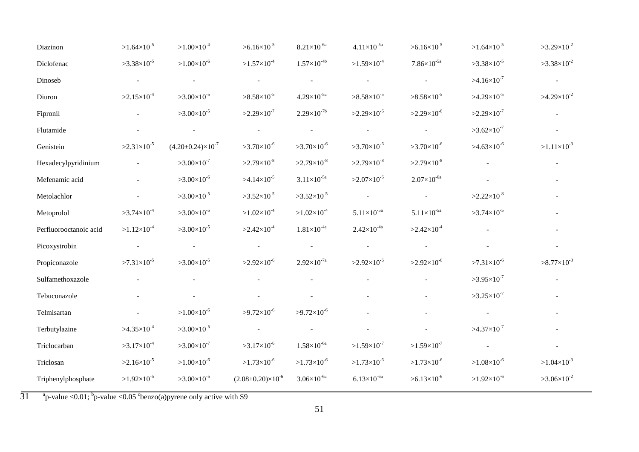| Diazinon               | $>1.64\times10^{-5}$ | $>1.00\times10^{-4}$             | $>6.16\times10^{-5}$             | $8.21\times10^{-6a}$     | $4.11\times10^{-5a}$     | $>6.16\times10^{-5}$     | $>1.64\times10^{-5}$        | $>3.29\times10^{-2}$ |
|------------------------|----------------------|----------------------------------|----------------------------------|--------------------------|--------------------------|--------------------------|-----------------------------|----------------------|
| Diclofenac             | $>3.38\times10^{-5}$ | $>1.00\times10^{-6}$             | $>1.57\times10^{-4}$             | $1.57\times10^{-4b}$     | $>1.59\times10^{-4}$     | $7.86\times10^{-5a}$     | $>3.38\times10^{-5}$        | $>3.38\times10^{-2}$ |
| Dinoseb                |                      |                                  | $\blacksquare$                   | $\overline{\phantom{a}}$ | $\overline{\phantom{a}}$ | $\overline{\phantom{a}}$ | $>4.16\times10^{-7}$        | $\sim$               |
| Diuron                 | $>2.15\times10^{-4}$ | $>3.00\times10^{-5}$             | $>8.58\times10^{-5}$             | $4.29\times10^{-5a}$     | $>8.58\times10^{-5}$     | $>8.58\times10^{-5}$     | $>4.29\times10^{-5}$        | $>4.29\times10^{-2}$ |
| Fipronil               |                      | $>3.00\times10^{-5}$             | $>2.29\times10^{-7}$             | $2.29\times10^{-7}$      | $>2.29\times10^{-6}$     | $>2.29\times10^{-6}$     | $>2.29\times10^{-7}$        | $\omega_{\rm c}$     |
| Flutamide              |                      |                                  | $\blacksquare$                   | $\blacksquare$           | $\sim$                   | $\equiv$                 | $>3.62\times10^{-7}$        |                      |
| Genistein              | $>2.31\times10^{-5}$ | $(4.20 \pm 0.24) \times 10^{-7}$ | $>3.70\times10^{-6}$             | $>3.70\times10^{-6}$     | $>3.70\times10^{-6}$     | $>3.70\times10^{-6}$     | $>4.63\times10^{-6}$        | $>1.11\times10^{-3}$ |
| Hexadecylpyridinium    |                      | $>3.00\times10^{-7}$             | $>2.79\times10^{-8}$             | $>2.79\times10^{-8}$     | $>2.79\times10^{-8}$     | $>2.79\times10^{-8}$     |                             |                      |
| Mefenamic acid         |                      | $>3.00\times10^{-6}$             | $>4.14\times10^{-5}$             | $3.11 \times 10^{-5a}$   | $>2.07\times10^{-6}$     | $2.07\times10^{-6a}$     |                             |                      |
| Metolachlor            |                      | $>3.00\times10^{-5}$             | $>3.52\times10^{-5}$             | $>3.52\times10^{-5}$     | $\sim$                   | $\equiv$                 | $>2.22\times10^{-8}$        |                      |
| Metoprolol             | $>3.74\times10^{-4}$ | $>3.00\times10^{-5}$             | $>1.02\times10^{-4}$             | $>1.02\times10^{-4}$     | $5.11\times10^{-5a}$     | $5.11\times10^{-5a}$     | $>3.74\times10^{-5}$        |                      |
| Perfluorooctanoic acid | $>1.12\times10^{-4}$ | $>3.00\times10^{-5}$             | $>2.42\times10^{-4}$             | $1.81\times10^{-4a}$     | $2.42\times10^{-4a}$     | $>2.42\times10^{-4}$     |                             |                      |
| Picoxystrobin          |                      |                                  | $\overline{\phantom{a}}$         |                          | $\overline{\phantom{a}}$ | $\mathbb{L}^2$           |                             |                      |
| Propiconazole          | $>7.31\times10^{-5}$ | $>3.00\times10^{-5}$             | $>2.92\times10^{-6}$             | $2.92\times10^{-7a}$     | $>2.92\times10^{-6}$     | $>2.92\times10^{-6}$     | $>7.31\times10^{-6}$        | $>8.77\times10^{-3}$ |
| Sulfamethoxazole       |                      |                                  |                                  |                          |                          |                          | $>3.95\times10^{-7}$        |                      |
| Tebuconazole           |                      |                                  |                                  |                          |                          |                          | $>3.25\times10^{-7}$        |                      |
| Telmisartan            |                      | $>1.00\times10^{-6}$             | $>9.72\times10^{-6}$             | $>9.72\times10^{-6}$     |                          |                          |                             |                      |
| Terbutylazine          | $>4.35\times10^{-4}$ | $>3.00\times10^{-5}$             | $\mathbb{L}$                     |                          |                          |                          | $>4.37\times10^{-7}$        |                      |
| Triclocarban           | $>3.17\times10^{-4}$ | $>3.00\times10^{-7}$             | $>3.17\times10^{-6}$             | $1.58\times10^{-6a}$     | $>1.59\times10^{-7}$     | $>1.59\times10^{-7}$     | $\mathcal{L}_{\mathcal{A}}$ |                      |
| Triclosan              | $>2.16\times10^{-5}$ | $>1.00\times10^{-6}$             | $>1.73\times10^{-6}$             | $>1.73\times10^{-6}$     | $>1.73\times10^{-6}$     | $>1.73\times10^{-6}$     | $>1.08\times10^{-6}$        | $>1.04\times10^{-3}$ |
| Triphenylphosphate     | $>1.92\times10^{-5}$ | $>3.00\times10^{-5}$             | $(2.08 \pm 0.20) \times 10^{-6}$ | $3.06 \times 10^{-6a}$   | $6.13\times10^{-6a}$     | $> 6.13 \times 10^{-6}$  | $>1.92\times10^{-6}$        | $>3.06\times10^{-2}$ |

 $\overline{31}$  a <sup>a</sup> p-value <0.01; <sup>b</sup> p-value <0.05 <sup>c</sup> benzo(a) pyrene only active with S9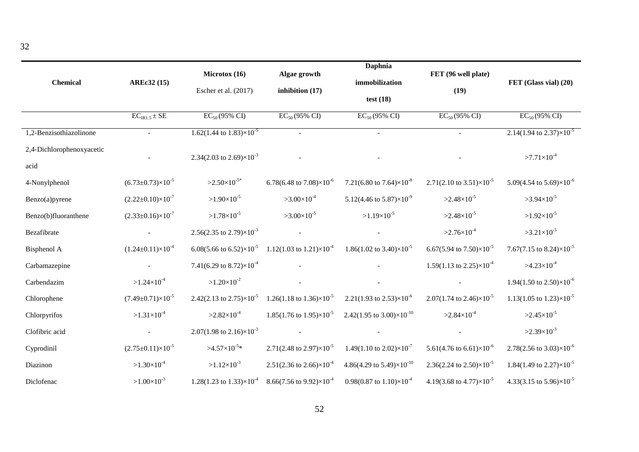| <b>Chemical</b>                   | <b>AREc32 (15)</b>               | Microtox (16)<br>Escher et al. (2017)        | Algae growth<br>inhibition $(17)$            | Daphnia<br>immobilization<br>test $(18)$         | FET (96 well plate)<br>(19)                  | FET (Glass vial) (20)                        |
|-----------------------------------|----------------------------------|----------------------------------------------|----------------------------------------------|--------------------------------------------------|----------------------------------------------|----------------------------------------------|
|                                   | $\overline{EC_{IR1.5} \pm SE}$   | $EC_{50}$ (95% CI)                           | $EC_{50}(95\% \text{ CI})$                   | $EC_{50}$ (95% CI)                               | $EC_{50}$ (95% CI)                           | $EC_{50}$ (95% CI)                           |
| 1,2-Benzisothiazolinone           | $\sim$                           | $1.62(1.44 \text{ to } 1.83)\times 10^{-5}$  |                                              | $\blacksquare$                                   | $\sim$                                       | $2.14(1.94 \text{ to } 2.37) \times 10^{-5}$ |
| 2,4-Dichlorophenoxyacetic<br>acid |                                  | 2.34(2.03 to 2.69) $\times 10^{-3}$          |                                              |                                                  |                                              | $>7.71\times10^{-4}$                         |
| 4-Nonylphenol                     | $(6.73 \pm 0.73) \times 10^{-5}$ | $>2.50\times10^{-5*}$                        | 6.78(6.48 to 7.08) $\times$ 10 <sup>-6</sup> | 7.21(6.80 to 7.64) $\times$ 10 <sup>-8</sup>     | 2.71(2.10 to 3.51) $\times$ 10 <sup>-5</sup> | 5.09(4.54 to 5.69) $\times$ 10 <sup>-6</sup> |
| Benzo(a)pyrene                    | $(2.22 \pm 0.10) \times 10^{-7}$ | $>1.90\times10^{-5}$                         | $>3.00\times10^{-4}$                         | 5.12(4.46 to 5.87) $\times$ 10 <sup>-9</sup>     | $>2.48\times10^{-5}$                         | $>3.94\times10^{-5}$                         |
| Benzo(b)fluoranthene              | $(2.33\pm0.16)\times10^{-7}$     | $>1.78\times10^{-5}$                         | $>3.00\times10^{-5}$                         | $>1.19\times10^{-5}$                             | $>2.48\times10^{-5}$                         | $>1.92\times10^{-5}$                         |
| Bezafibrate                       |                                  | 2.56(2.35 to 2.79) $\times 10^{-3}$          |                                              |                                                  | $>2.76\times10^{-4}$                         | $>3.21\times10^{-5}$                         |
| Bisphenol A                       | $(1.24 \pm 0.11) \times 10^{-4}$ | 6.08(5.66 to 6.52) $\times$ 10 <sup>-5</sup> | 1.12(1.03 to 1.21) $\times$ 10 <sup>-4</sup> | 1.86(1.02 to 3.40) $\times$ 10 <sup>-5</sup>     | 6.67(5.94 to 7.50) $\times 10^{-5}$          | 7.67(7.15 to 8.24) $\times$ 10 <sup>-5</sup> |
| Carbamazepine                     |                                  | 7.41(6.29 to 8.72) $\times$ 10 <sup>-4</sup> |                                              |                                                  | 1.59(1.13 to 2.25) $\times$ 10 <sup>-4</sup> | $>4.23\times10^{-4}$                         |
| Carbendazim                       | $>1.24\times10^{-4}$             | $>1.20\times10^{-2}$                         |                                              |                                                  |                                              | 1.94(1.50 to 2.50) $\times$ 10 <sup>-6</sup> |
| Chlorophene                       | $(7.49 \pm 0.71) \times 10^{-5}$ | 2.42(2.13 to 2.75) $\times$ 10 <sup>-5</sup> | 1.26(1.18 to 1.36) $\times$ 10 <sup>-5</sup> | 2.21(1.93 to 2.53) $\times$ 10 <sup>-6</sup>     | 2.07(1.74 to 2.46) $\times$ 10 <sup>-5</sup> | $1.13(1.05 \text{ to } 1.23) \times 10^{-5}$ |
| Chlorpyrifos                      | $>1.31\times10^{-4}$             | $>2.82\times10^{-4}$                         | 1.85(1.76 to 1.95) $\times$ 10 <sup>-5</sup> | 2.42(1.95 to 3.00) $\times$ 10 <sup>-10</sup>    | $>2.84\times10^{-4}$                         | $>2.45\times10^{-5}$                         |
| Clofibric acid                    |                                  | 2.07(1.98 to 2.16) $\times$ 10 <sup>-3</sup> |                                              |                                                  |                                              | $>2.39\times10^{-3}$                         |
| Cyprodinil                        | $(2.75 \pm 0.11) \times 10^{-5}$ | $>4.57\times10^{-5*}$                        | 2.71(2.48 to 2.97) $\times$ 10 <sup>-5</sup> | 1.49(1.10 to 2.02) $\times 10^{-7}$              | 5.61(4.76 to 6.61) $\times$ 10 <sup>-6</sup> | 2.78(2.56 to 3.03) $\times$ 10 <sup>-6</sup> |
| Diazinon                          | $>1.30\times10^{-4}$             | $>1.12\times10^{-3}$                         | 2.51(2.36 to 2.66) $\times$ 10 <sup>-4</sup> | 4.86(4.29 to $5.49$ ) $\times$ 10 <sup>-10</sup> | 2.36(2.24 to 2.50) $\times$ 10 <sup>-5</sup> | 1.84(1.49 to 2.27) $\times$ 10 <sup>-5</sup> |
| Diclofenac                        | $>1.00\times10^{-3}$             | 1.28(1.23 to 1.33) $\times 10^{-4}$          | 8.66(7.56 to 9.92) $\times 10^{-4}$          | 0.98(0.87 to 1.10) $\times$ 10 <sup>-4</sup>     | 4.19(3.68 to 4.77) $\times$ 10 <sup>-5</sup> | 4.33(3.15 to 5.96) $\times$ 10 <sup>-5</sup> |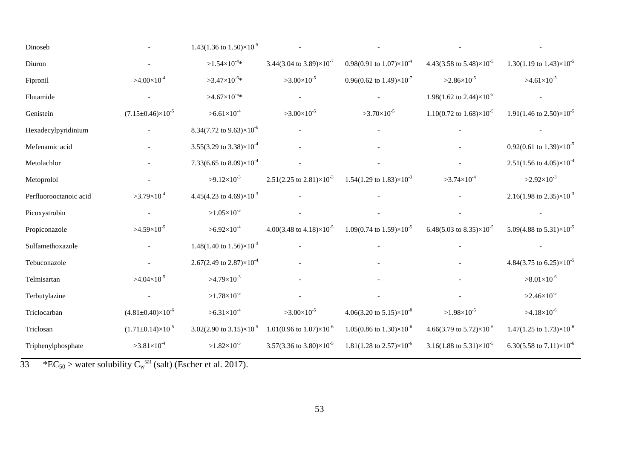| Dinoseb                |                                  | 1.43(1.36 to $1.50\times10^{-5}$             |                                              |                                                 |                                                 |                                              |
|------------------------|----------------------------------|----------------------------------------------|----------------------------------------------|-------------------------------------------------|-------------------------------------------------|----------------------------------------------|
| Diuron                 |                                  | $>1.54\times10^{-4}*$                        | 3.44(3.04 to 3.89) $\times 10^{-7}$          | 0.98(0.91 to $1.07\times10^{-4}$                | 4.43(3.58 to 5.48) $\times$ 10 <sup>-5</sup>    | 1.30(1.19 to 1.43) $\times$ 10 <sup>-5</sup> |
| Fipronil               | $>4.00\times10^{-4}$             | $>3.47\times10^{-6}*$                        | $>3.00\times10^{-5}$                         | 0.96(0.62 to $1.49\times10^{-7}$                | $>2.86\times10^{-5}$                            | $>4.61\times10^{-5}$                         |
| Flutamide              |                                  | $>4.67\times10^{-5}*$                        |                                              |                                                 | 1.98(1.62 to 2.44) $\times$ 10 <sup>-5</sup>    |                                              |
| Genistein              | $(7.15 \pm 0.46) \times 10^{-5}$ | $>6.61\times10^{-4}$                         | $>3.00\times10^{-5}$                         | $>3.70\times10^{-5}$                            | 1.10(0.72 to $1.68$ ) $\times$ 10 <sup>-5</sup> | 1.91(1.46 to 2.50) $\times$ 10 <sup>-5</sup> |
| Hexadecylpyridinium    |                                  | 8.34(7.72 to 9.63) $\times$ 10 <sup>-6</sup> |                                              |                                                 |                                                 |                                              |
| Mefenamic acid         |                                  | 3.55(3.29 to 3.38) $\times$ 10 <sup>-4</sup> |                                              |                                                 |                                                 | 0.92(0.61 to 1.39) $\times$ 10 <sup>-5</sup> |
| Metolachlor            |                                  | 7.33(6.65 to 8.09) $\times 10^{-4}$          |                                              |                                                 |                                                 | $2.51(1.56 \text{ to } 4.05) \times 10^{-4}$ |
| Metoprolol             |                                  | $>9.12\times10^{-3}$                         | $2.51(2.25 \text{ to } 2.81)\times10^{-3}$   | 1.54(1.29 to 1.83) $\times$ 10 <sup>-3</sup>    | $>3.74\times10^{-4}$                            | $>2.92\times10^{-3}$                         |
| Perfluorooctanoic acid | $>3.79\times10^{-4}$             | 4.45(4.23 to 4.69) $\times 10^{-3}$          |                                              |                                                 |                                                 | 2.16(1.98 to 2.35) $\times$ 10 <sup>-3</sup> |
| Picoxystrobin          |                                  | $>1.05\times10^{-3}$                         |                                              |                                                 |                                                 |                                              |
| Propiconazole          | $>4.59\times10^{-5}$             | $>6.92\times10^{-4}$                         | 4.00(3.48 to 4.18) $\times$ 10 <sup>-5</sup> | 1.09(0.74 to $1.59\times10^{-5}$                | 6.48(5.03 to 8.35) $\times$ 10 <sup>-5</sup>    | 5.09(4.88 to 5.31) $\times$ 10 <sup>-5</sup> |
| Sulfamethoxazole       |                                  | 1.48(1.40 to $1.56 \times 10^{-3}$           |                                              |                                                 |                                                 |                                              |
| Tebuconazole           |                                  | 2.67(2.49 to 2.87) $\times$ 10 <sup>-4</sup> |                                              |                                                 |                                                 | 4.84(3.75 to 6.25) $\times$ 10 <sup>-5</sup> |
| Telmisartan            | $>4.04\times10^{-5}$             | $>4.79\times10^{-3}$                         |                                              |                                                 |                                                 | $>8.01\times10^{-6}$                         |
| Terbutylazine          |                                  | $>1.78\times10^{-3}$                         |                                              |                                                 |                                                 | $>2.46\times10^{-5}$                         |
| Triclocarban           | $(4.81 \pm 0.40) \times 10^{-6}$ | $>6.31\times10^{-4}$                         | $>3.00\times10^{-5}$                         | 4.06(3.20 to $5.15$ ) $\times$ 10 <sup>-8</sup> | $>1.98\times10^{-5}$                            | $>4.18\times10^{-6}$                         |
| Triclosan              | $(1.71\pm0.14)\times10^{-5}$     | 3.02(2.90 to 3.15) $\times$ 10 <sup>-5</sup> | $1.01(0.96 \text{ to } 1.07) \times 10^{-6}$ | $1.05(0.86 \text{ to } 1.30) \times 10^{-6}$    | 4.66(3.79 to 5.72) $\times$ 10 <sup>-6</sup>    | $1.47(1.25 \text{ to } 1.73) \times 10^{-6}$ |
| Triphenylphosphate     | $>3.81\times10^{-4}$             | $>1.82\times10^{-3}$                         | 3.57(3.36 to 3.80) $\times$ 10 <sup>-5</sup> | $1.81(1.28 \text{ to } 2.57) \times 10^{-6}$    | 3.16(1.88 to 5.31) $\times$ 10 <sup>-5</sup>    | 6.30(5.58 to 7.11) $\times$ 10 <sup>-6</sup> |

 $33$  \*EC<sub>50</sub> > water solubility C<sub>w</sub><sup>sat</sup> (salt) (Escher et al. 2017).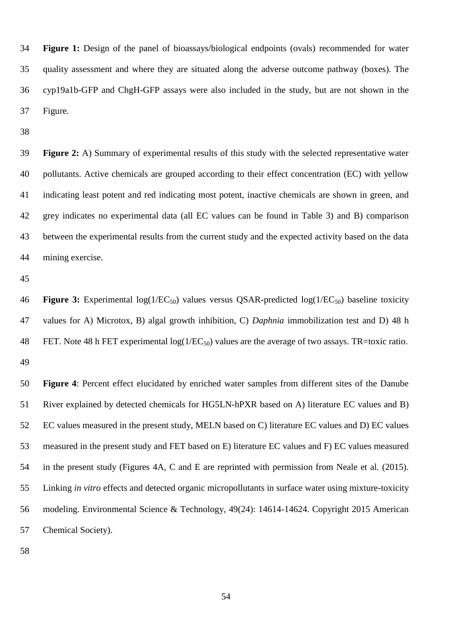**Figure 1:** Design of the panel of bioassays/biological endpoints (ovals) recommended for water quality assessment and where they are situated along the adverse outcome pathway (boxes). The cyp19a1b-GFP and ChgH-GFP assays were also included in the study, but are not shown in the Figure.

 **Figure 2:** A) Summary of experimental results of this study with the selected representative water pollutants. Active chemicals are grouped according to their effect concentration (EC) with yellow indicating least potent and red indicating most potent, inactive chemicals are shown in green, and grey indicates no experimental data (all EC values can be found in Table 3) and B) comparison between the experimental results from the current study and the expected activity based on the data mining exercise.

46 **Figure 3:** Experimental log(1/EC<sub>50</sub>) values versus QSAR-predicted log(1/EC<sub>50</sub>) baseline toxicity values for A) Microtox, B) algal growth inhibition, C) *Daphnia* immobilization test and D) 48 h 48 FET. Note 48 h FET experimental  $log(1/EC_{50})$  values are the average of two assays. TR=toxic ratio. 

 **Figure 4**: Percent effect elucidated by enriched water samples from different sites of the Danube River explained by detected chemicals for HG5LN-hPXR based on A) literature EC values and B) EC values measured in the present study, MELN based on C) literature EC values and D) EC values measured in the present study and FET based on E) literature EC values and F) EC values measured in the present study (Figures 4A, C and E are reprinted with permission from Neale et al. (2015). Linking *in vitro* effects and detected organic micropollutants in surface water using mixture-toxicity modeling. Environmental Science & Technology, 49(24): 14614-14624. Copyright 2015 American Chemical Society).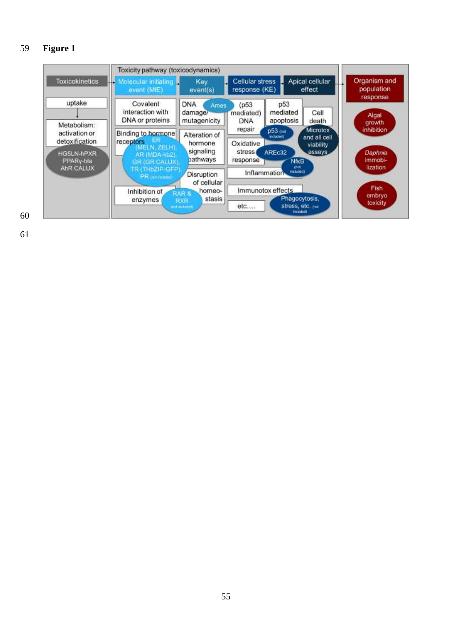# **Figure 1**

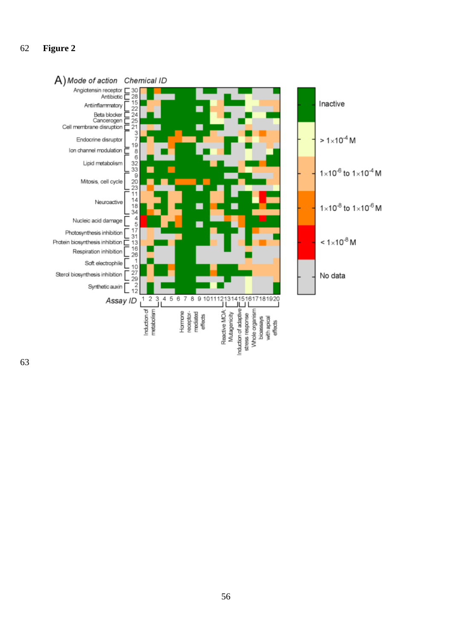# **Figure 2**

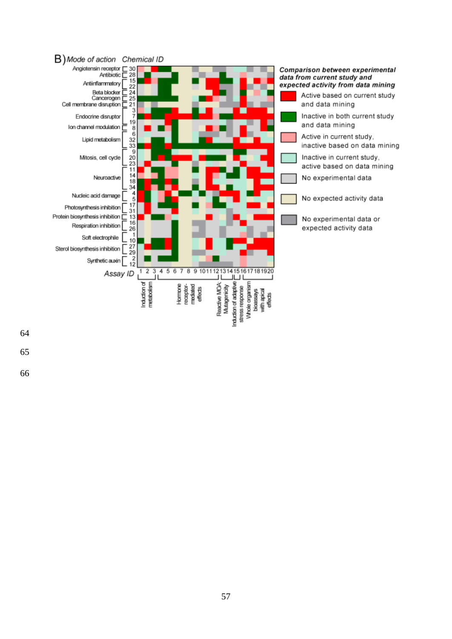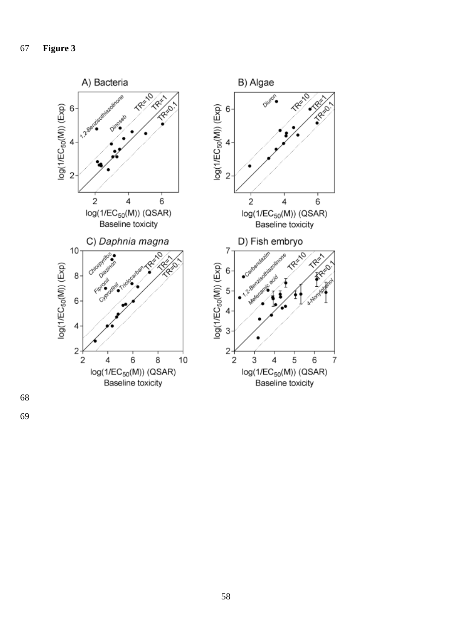